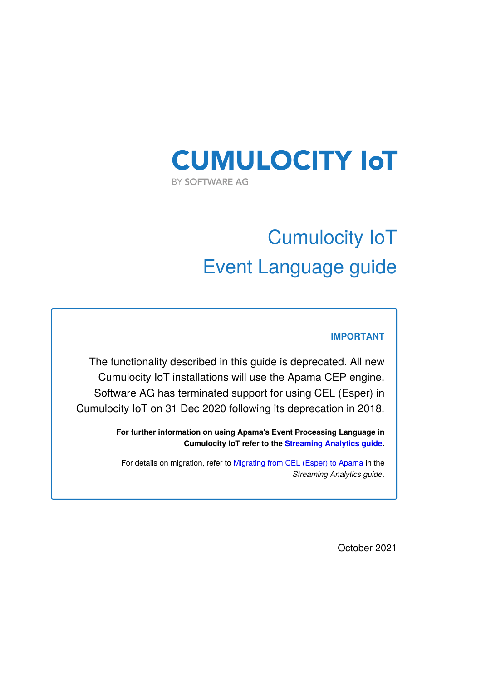# **CUMULOCITY IOT** BY SOFTWARE AG

# Cumulocity IoT Event Language guide

### **IMPORTANT**

The functionality described in this guide is deprecated. All new Cumulocity IoT installations will use the Apama CEP engine. Software AG has terminated support for using CEL (Esper) in Cumulocity IoT on 31 Dec 2020 following its deprecation in 2018.

> **For further information on using Apama's Event Processing Language in Cumulocity IoT refer to the [Streaming](https://cumulocity.com/guides/apama/overview-analytics/) Analytics guide.**

For details on migration, refer to [Migrating](https://cumulocity.com/guides/apama/overview-analytics/#migrate-from-esper) from CEL (Esper) to Apama in the *Streaming Analytics guide*.

October 2021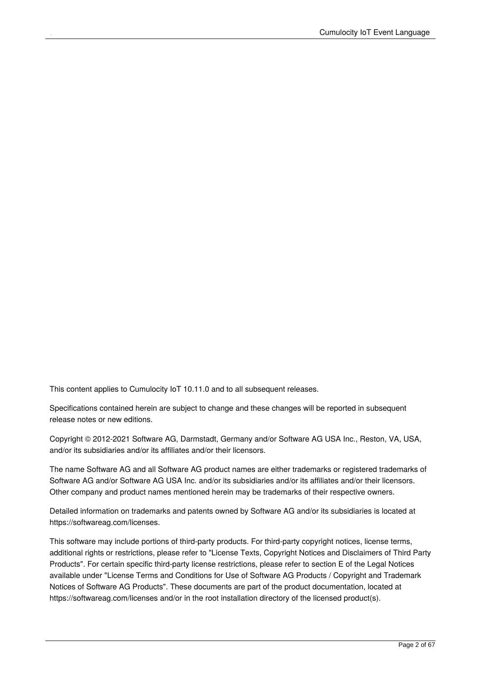This content applies to Cumulocity IoT 10.11.0 and to all subsequent releases.

Specifications contained herein are subject to change and these changes will be reported in subsequent release notes or new editions.

Copyright © 2012-2021 Software AG, Darmstadt, Germany and/or Software AG USA Inc., Reston, VA, USA, and/or its subsidiaries and/or its affiliates and/or their licensors.

The name Software AG and all Software AG product names are either trademarks or registered trademarks of Software AG and/or Software AG USA Inc. and/or its subsidiaries and/or its affiliates and/or their licensors. Other company and product names mentioned herein may be trademarks of their respective owners.

Detailed information on trademarks and patents owned by Software AG and/or its subsidiaries is located at https://softwareag.com/licenses.

This software may include portions of third-party products. For third-party copyright notices, license terms, additional rights or restrictions, please refer to "License Texts, Copyright Notices and Disclaimers of Third Party Products". For certain specific third-party license restrictions, please refer to section E of the Legal Notices available under "License Terms and Conditions for Use of Software AG Products / Copyright and Trademark Notices of Software AG Products". These documents are part of the product documentation, located at https://softwareag.com/licenses and/or in the root installation directory of the licensed product(s).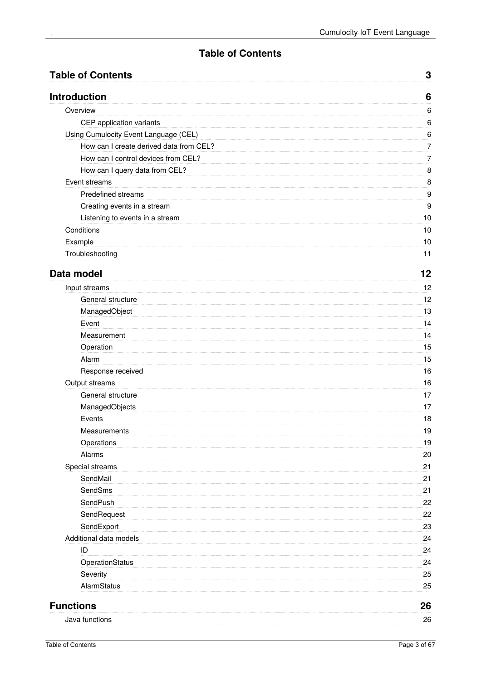### **Table of Contents**

<span id="page-2-0"></span>

| <b>Table of Contents</b>                | 3              |
|-----------------------------------------|----------------|
| <b>Introduction</b>                     | 6              |
| Overview                                | 6              |
| CEP application variants                | 6              |
| Using Cumulocity Event Language (CEL)   | 6              |
| How can I create derived data from CEL? | 7              |
| How can I control devices from CEL?     | $\overline{7}$ |
| How can I query data from CEL?          | 8              |
| Event streams                           | 8              |
| Predefined streams                      | 9              |
| Creating events in a stream             | 9              |
| Listening to events in a stream         | 10             |
| Conditions                              | 10             |
| Example                                 | 10             |
| Troubleshooting                         | 11             |
| Data model                              | 12             |
| Input streams                           | 12             |
| General structure                       | 12             |
| ManagedObject                           | 13             |
| Event                                   | 14             |
| Measurement                             | 14             |
| Operation                               | 15             |
| Alarm                                   | 15             |
| Response received                       | 16             |
| Output streams                          | 16             |
| General structure                       | 17             |
| ManagedObjects                          | 17             |
| Events                                  | 18             |
| Measurements                            | 19             |
| Operations                              | 19             |
| Alarms                                  | 20             |
| Special streams                         | 21             |
| SendMail                                | 21             |
| SendSms                                 | 21             |
| SendPush                                | 22             |
| SendRequest                             | 22             |
| SendExport                              | 23             |
| Additional data models                  | 24             |
| ID                                      | 24             |
| OperationStatus                         | 24             |
| Severity                                | 25             |
| AlarmStatus                             | 25             |
| <b>Functions</b>                        | 26             |
| Java functions                          | 26             |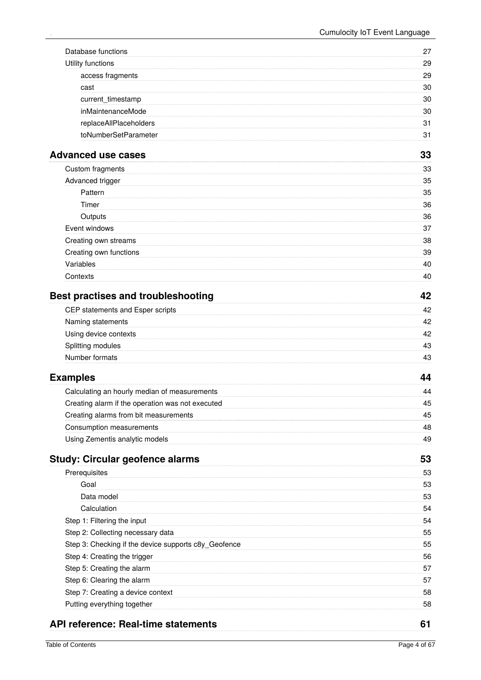| Database functions                                   | 27 |
|------------------------------------------------------|----|
| Utility functions                                    | 29 |
| access fragments                                     | 29 |
| cast                                                 | 30 |
| current_timestamp                                    | 30 |
| inMaintenanceMode                                    | 30 |
| replaceAllPlaceholders                               | 31 |
| toNumberSetParameter                                 | 31 |
| <b>Advanced use cases</b>                            | 33 |
|                                                      |    |
| Custom fragments                                     | 33 |
| Advanced trigger                                     | 35 |
| Pattern                                              | 35 |
| Timer                                                | 36 |
| Outputs                                              | 36 |
| Event windows                                        | 37 |
| Creating own streams                                 | 38 |
| Creating own functions                               | 39 |
| Variables                                            | 40 |
| Contexts                                             | 40 |
| <b>Best practises and troubleshooting</b>            | 42 |
| CEP statements and Esper scripts                     | 42 |
| Naming statements                                    | 42 |
| Using device contexts                                | 42 |
| Splitting modules                                    | 43 |
| Number formats                                       | 43 |
| <b>Examples</b>                                      | 44 |
| Calculating an hourly median of measurements         | 44 |
| Creating alarm if the operation was not executed     | 45 |
| Creating alarms from bit measurements                | 45 |
| Consumption measurements                             | 48 |
| Using Zementis analytic models                       | 49 |
|                                                      |    |
| <b>Study: Circular geofence alarms</b>               | 53 |
| Prerequisites                                        | 53 |
| Goal                                                 | 53 |
| Data model                                           | 53 |
| Calculation                                          | 54 |
| Step 1: Filtering the input                          | 54 |
| Step 2: Collecting necessary data                    | 55 |
| Step 3: Checking if the device supports c8y_Geofence | 55 |
| Step 4: Creating the trigger                         | 56 |
| Step 5: Creating the alarm                           | 57 |
| Step 6: Clearing the alarm                           | 57 |
| Step 7: Creating a device context                    | 58 |
| Putting everything together                          | 58 |
| <b>API reference: Real-time statements</b>           | 61 |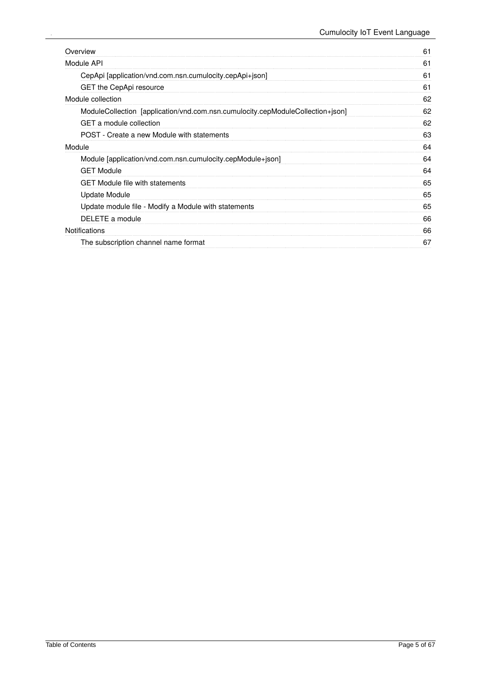| Overview                                                                       | 61 |
|--------------------------------------------------------------------------------|----|
| Module API                                                                     | 61 |
| CepApi [application/vnd.com.nsn.cumulocity.cepApi+json]                        | 61 |
| GET the CepApi resource                                                        | 61 |
| Module collection                                                              | 62 |
| ModuleCollection [application/vnd.com.nsn.cumulocity.cepModuleCollection+json] | 62 |
| GET a module collection                                                        | 62 |
| POST - Create a new Module with statements                                     | 63 |
| Module                                                                         | 64 |
| Module [application/vnd.com.nsn.cumulocity.cepModule+json]                     | 64 |
| <b>GET Module</b>                                                              | 64 |
| <b>GET Module file with statements</b>                                         | 65 |
| Update Module                                                                  | 65 |
| Update module file - Modify a Module with statements                           | 65 |
| DELETE a module                                                                | 66 |
| <b>Notifications</b>                                                           | 66 |
| The subscription channel name format                                           | 67 |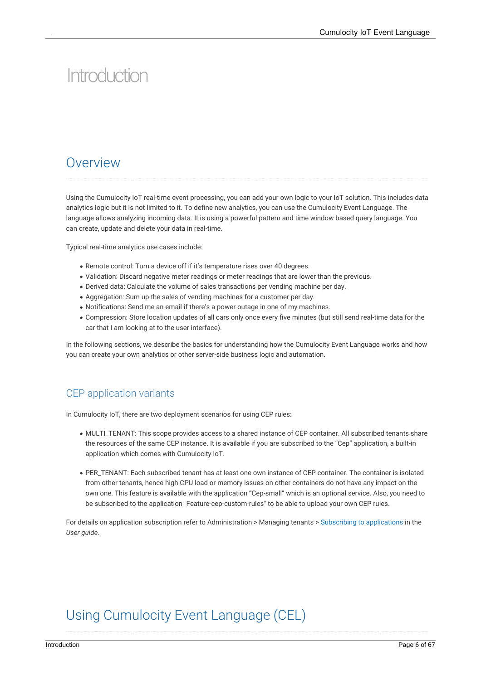# <span id="page-5-0"></span>Introduction

### <span id="page-5-1"></span>Overview

Using the Cumulocity IoT real-time event processing, you can add your own logic to your IoT solution. This includes data analytics logic but it is not limited to it. To define new analytics, you can use the Cumulocity Event Language. The language allows analyzing incoming data. It is using a powerful pattern and time window based query language. You can create, update and delete your data in real-time.

Typical real-time analytics use cases include:

- Remote control: Turn a device off if it's temperature rises over 40 degrees.
- Validation: Discard negative meter readings or meter readings that are lower than the previous.
- Derived data: Calculate the volume of sales transactions per vending machine per day.
- Aggregation: Sum up the sales of vending machines for a customer per day.
- Notifications: Send me an email if there's a power outage in one of my machines.
- Compression: Store location updates of all cars only once every five minutes (but still send real-time data for the car that I am looking at to the user interface).

In the following sections, we describe the basics for understanding how the Cumulocity Event Language works and how you can create your own analytics or other server-side business logic and automation.

### <span id="page-5-2"></span>CEP application variants

In Cumulocity IoT, there are two deployment scenarios for using CEP rules:

- MULTI\_TENANT: This scope provides access to a shared instance of CEP container. All subscribed tenants share the resources of the same CEP instance. It is available if you are subscribed to the "Cep" application, a built-in application which comes with Cumulocity IoT.
- PER\_TENANT: Each subscribed tenant has at least one own instance of CEP container. The container is isolated from other tenants, hence high CPU load or memory issues on other containers do not have any impact on the own one. This feature is available with the application "Cep-small" which is an optional service. Also, you need to be subscribed to the application" Feature-cep-custom-rules" to be able to upload your own CEP rules.

<span id="page-5-3"></span>For details on application subscription refer to Administration > Managing tenants > Subscribing to [applications](https://cumulocity.com/guides/users-guide/enterprise-tenant#subscribe) in the *User guide*.

## Using Cumulocity Event Language (CEL)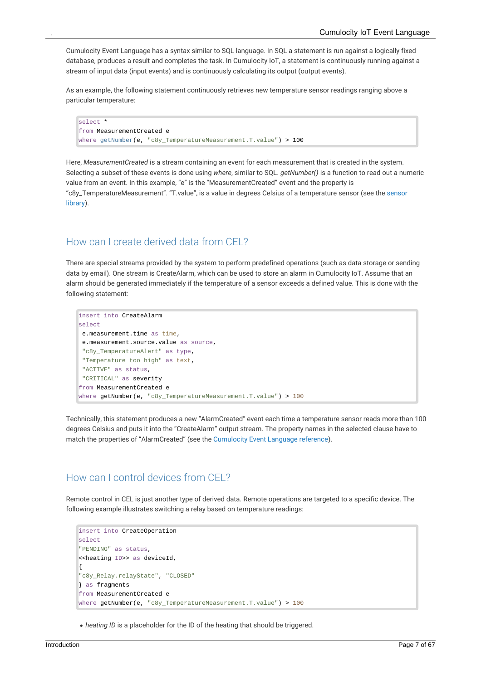Cumulocity Event Language has a syntax similar to SQL language. In SQL a statement is run against a logically fixed database, produces a result and completes the task. In Cumulocity IoT, a statement is continuously running against a stream of input data (input events) and is continuously calculating its output (output events).

As an example, the following statement continuously retrieves new temperature sensor readings ranging above a particular temperature:

```
select *
from MeasurementCreated e
where getNumber(e, "c8y_TemperatureMeasurement.T.value") > 100
```
Here, *MeasurementCreated* is a stream containing an event for each measurement that is created in the system. Selecting a subset of these events is done using *where*, similar to SQL. *getNumber()* is a function to read out a numeric value from anevent. In this example, "e" is the "MeasurementCreated" event and the property is ["c8y\\_TemperatureMeasurement".](https://cumulocity.com/api/10.11.0/#section/Sensor-library) "T.value", is a value in degrees Celsius of a temperature sensor (see the sensor library).

### <span id="page-6-0"></span>How can I create derived data from CEL?

There are special streams provided by the system to perform predefined operations (such as data storage or sending data by email). One stream is CreateAlarm, which can be used to store an alarm in Cumulocity IoT. Assume that an alarm should be generated immediately if the temperature of a sensor exceeds a defined value. This is done with the following statement:

```
insert into CreateAlarm
select
e.measurement.time as time,
e.measurement.source.value as source,
 "c8y_TemperatureAlert" as type,
"Temperature too high" as text,
"ACTIVE" as status,
 "CRITICAL" as severity
from MeasurementCreated e
where getNumber(e, "c8y_TemperatureMeasurement.T.value") > 100
```
Technically, this statement produces a new "AlarmCreated" event each time a temperature sensor reads more than 100 degrees Celsius and puts it into the "CreateAlarm" output stream. The property names in the selected clause have to match the properties of "AlarmCreated" (see the [Cumulocity](http://localhost:1313/guides/real-time-statements) Event Language reference).

### <span id="page-6-1"></span>How can I control devices from CEL?

Remote control in CEL is just another type of derived data. Remote operations are targeted to a specific device. The following example illustrates switching a relay based on temperature readings:

```
insert into CreateOperation
select
"PENDING" as status,
<<heating ID>> as deviceId,
{
"c8y_Relay.relayState", "CLOSED"
} as fragments
from MeasurementCreated e
where getNumber(e, "c8y_TemperatureMeasurement.T.value") > 100
```
*heating ID* is a placeholder for the ID of the heating that should be triggered.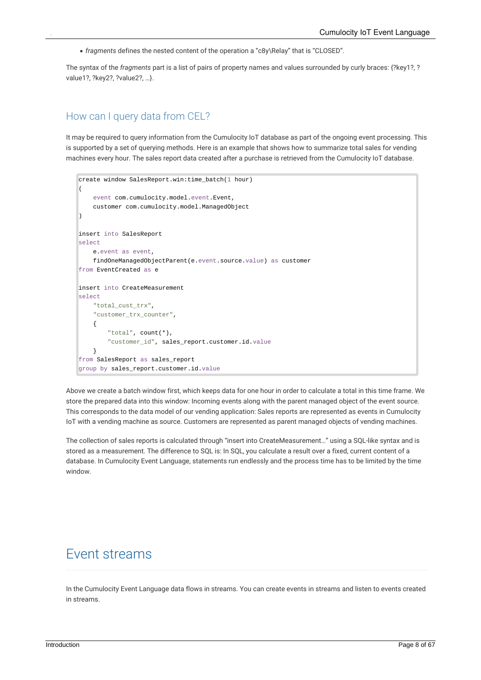*fragments* defines the nested content of the operation a "c8y\Relay" that is "CLOSED".

The syntax of the *fragments* part is a list of pairs of property names and values surrounded by curly braces: {?key1?, ? value1?, ?key2?, ?value2?, …}.

#### <span id="page-7-0"></span>How can I query data from CEL?

It may be required to query information from the Cumulocity IoT database as part of the ongoing event processing. This is supported by a set of querying methods. Here is an example that shows how to summarize total sales for vending machines every hour. The sales report data created after a purchase is retrieved from the Cumulocity IoT database.

```
create window SalesReport.win:time_batch(1 hour)
(
    event com.cumulocity.model.event.Event,
    customer com.cumulocity.model.ManagedObject
)
insert into SalesReport
select
    e.event as event,
    findOneManagedObjectParent(e.event.source.value) as customer
from EventCreated as e
insert into CreateMeasurement
select
    "total_cust_trx",
    "customer_trx_counter",
    {
        "total", count(*),
        "customer_id", sales_report.customer.id.value
    }
from SalesReport as sales_report
group by sales_report.customer.id.value
```
Above we create a batch window first, which keeps data for one hour in order to calculate a total in this time frame. We store the prepared data into this window: Incoming events along with the parent managed object of the event source. This corresponds to the data model of our vending application: Sales reports are represented as events in Cumulocity IoT with a vending machine as source. Customers are represented as parent managed objects of vending machines.

<span id="page-7-1"></span>The collection of sales reports is calculated through "insert into CreateMeasurement…" using a SQL-like syntax and is stored as a measurement. The difference to SQL is: In SQL, you calculate a result over a fixed, current content of a database. In Cumulocity Event Language, statements run endlessly and the process time has to be limited by the time window.

### Event streams

In the Cumulocity Event Language data flows in streams. You can create events in streams and listen to events created in streams.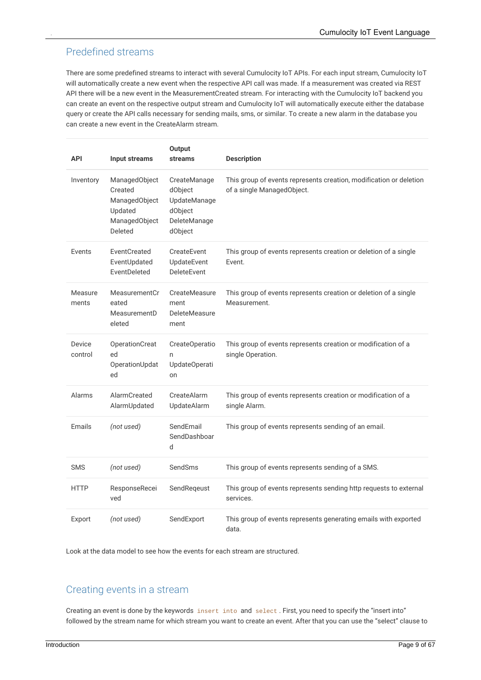### <span id="page-8-0"></span>Predefined streams

There are some predefined streams to interact with several Cumulocity IoT APIs. For each input stream, Cumulocity IoT will automatically create a new event when the respective API call was made. If a measurement was created via REST API there will be a new event in the MeasurementCreated stream. For interacting with the Cumulocity IoT backend you can create an event on the respective output stream and Cumulocity IoT will automatically execute either the database query or create the API calls necessary for sending mails, sms, or similar. To create a new alarm in the database you can create a new event in the CreateAlarm stream.

| <b>API</b>        | Input streams                                                                    | <b>Output</b><br><b>streams</b>                                               | <b>Description</b>                                                                               |
|-------------------|----------------------------------------------------------------------------------|-------------------------------------------------------------------------------|--------------------------------------------------------------------------------------------------|
| Inventory         | ManagedObject<br>Created<br>ManagedObject<br>Updated<br>ManagedObject<br>Deleted | CreateManage<br>dObject<br>UpdateManage<br>dObject<br>DeleteManage<br>dObject | This group of events represents creation, modification or deletion<br>of a single ManagedObject. |
| Events            | EventCreated<br>EventUpdated<br>EventDeleted                                     | CreateEvent<br>UpdateEvent<br>DeleteEvent                                     | This group of events represents creation or deletion of a single<br>Event.                       |
| Measure<br>ments  | MeasurementCr<br>eated<br>MeasurementD<br>eleted                                 | CreateMeasure<br>ment<br>DeleteMeasure<br>ment                                | This group of events represents creation or deletion of a single<br>Measurement.                 |
| Device<br>control | OperationCreat<br>ed<br>OperationUpdat<br>ed                                     | CreateOperatio<br>n<br>UpdateOperati<br>on                                    | This group of events represents creation or modification of a<br>single Operation.               |
| Alarms            | AlarmCreated<br>AlarmUpdated                                                     | CreateAlarm<br>UpdateAlarm                                                    | This group of events represents creation or modification of a<br>single Alarm.                   |
| <b>Emails</b>     | (not used)                                                                       | SendEmail<br>SendDashboar<br>d                                                | This group of events represents sending of an email.                                             |
| <b>SMS</b>        | (not used)                                                                       | SendSms                                                                       | This group of events represents sending of a SMS.                                                |
| <b>HTTP</b>       | ResponseRecei<br>ved                                                             | SendReqeust                                                                   | This group of events represents sending http requests to external<br>services.                   |
| Export            | (not used)                                                                       | SendExport                                                                    | This group of events represents generating emails with exported<br>data.                         |

Look at the data model to see how the events for each stream are structured.

#### <span id="page-8-1"></span>Creating events in a stream

Creating an event is done by the keywords insert into and select . First, you need to specify the "insert into" followed by the stream name for which stream you want to create an event. After that you can use the "select" clause to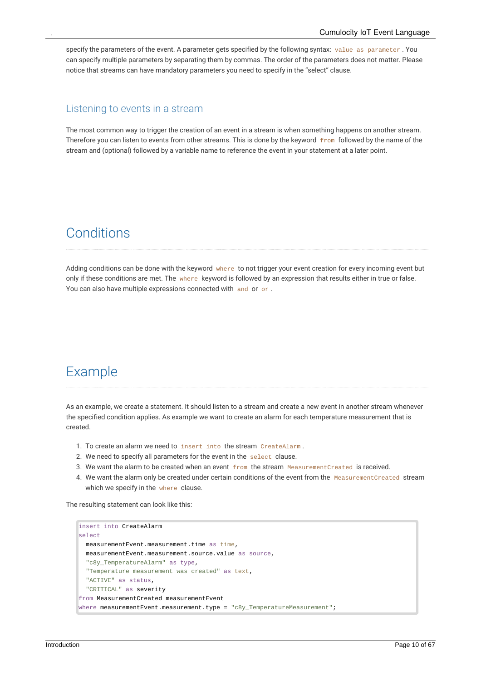specify the parameters of the event. A parameter gets specified by the following syntax: value as parameter . You can specify multiple parameters by separating them by commas. The order of the parameters does not matter. Please notice that streams can have mandatory parameters you need to specify in the "select" clause.

#### <span id="page-9-0"></span>Listening to events in a stream

<span id="page-9-1"></span>The most common way to trigger the creation of an event in a stream is when something happens on another stream. Therefore you can listen to events from other streams. This is done by the keyword from followed by the name of the stream and (optional) followed by a variable name to reference the event in your statement at a later point.

### **Conditions**

<span id="page-9-2"></span>Adding conditions can be done with the keyword where to not trigger your event creation for every incoming event but only if these conditions are met. The where keyword is followed by an expression that results either in true or false. You can also have multiple expressions connected with and or or.

### Example

As an example, we create a statement. It should listen to a stream and create a new event in another stream whenever the specified condition applies. As example we want to create an alarm for each temperature measurement that is created.

- 1. To create an alarm we need to insert into the stream CreateAlarm .
- 2. We need to specify all parameters for the event in the select clause.
- 3. We want the alarm to be created when an event from the stream MeasurementCreated is received.
- 4. We want the alarm only be created under certain conditions of the event from the MeasurementCreated stream which we specify in the where clause.

The resulting statement can look like this:

```
insert into CreateAlarm
select
 measurementEvent.measurement.time as time,
  measurementEvent.measurement.source.value as source.
  "c8y TemperatureAlarm" as type,
  "Temperature measurement was created" as text,
  "ACTIVE" as status,
  "CRITICAL" as severity
from MeasurementCreated measurementEvent
where measurementEvent.measurement.type = "c8y_TemperatureMeasurement";
```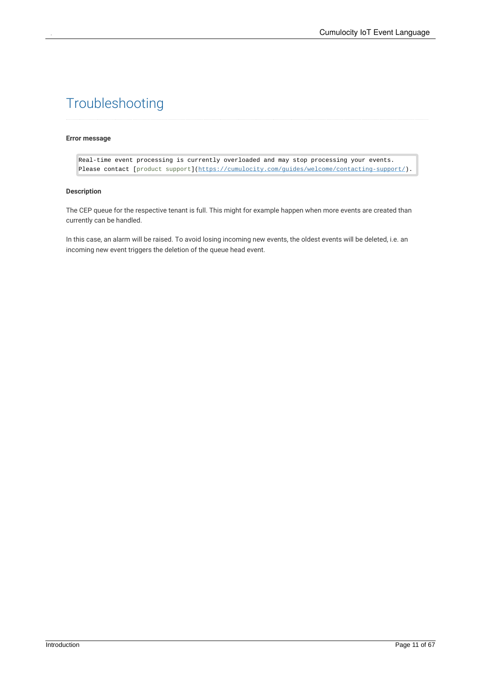## <span id="page-10-0"></span>Troubleshooting

#### **Error message**

Real-time event processing is currently overloaded and may stop processing your events. Please contact [product support](https://cumulocity.com/guides/welcome/contacting-support/).

#### **Description**

The CEP queue for the respective tenant is full. This might for example happen when more events are created than currently can be handled.

In this case, an alarm will be raised. To avoid losing incoming new events, the oldest events will be deleted, i.e. an incoming new event triggers the deletion of the queue head event.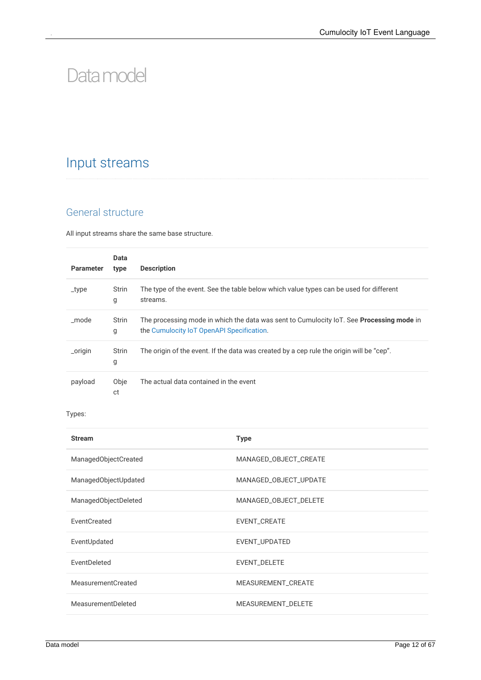# <span id="page-11-0"></span>Datamodel

## <span id="page-11-1"></span>Input streams

### <span id="page-11-2"></span>General structure

All input streams share the same base structure.

| <b>Parameter</b> | Data<br>type      | <b>Description</b>                                                                                                                           |
|------------------|-------------------|----------------------------------------------------------------------------------------------------------------------------------------------|
| _type            | <b>Strin</b><br>g | The type of the event. See the table below which value types can be used for different<br>streams.                                           |
| mode             | <b>Strin</b><br>g | The processing mode in which the data was sent to Cumulocity IoT. See <b>Processing mode</b> in<br>the Cumulocity IoT OpenAPI Specification. |
| _origin          | <b>Strin</b><br>g | The origin of the event. If the data was created by a cep rule the origin will be "cep".                                                     |
| payload          | Obje<br>ct        | The actual data contained in the event                                                                                                       |

#### Types:

| <b>Stream</b>             | <b>Type</b>           |
|---------------------------|-----------------------|
| ManagedObjectCreated      | MANAGED_OBJECT_CREATE |
| ManagedObjectUpdated      | MANAGED_OBJECT_UPDATE |
| ManagedObjectDeleted      | MANAGED_OBJECT_DELETE |
| EventCreated              | EVENT_CREATE          |
| EventUpdated              | EVENT_UPDATED         |
| EventDeleted              | EVENT_DELETE          |
| <b>MeasurementCreated</b> | MEASUREMENT_CREATE    |
| MeasurementDeleted        | MEASUREMENT_DELETE    |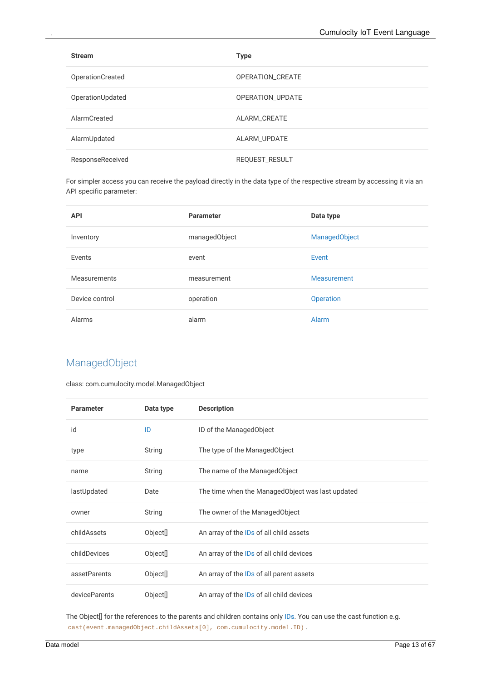| <b>Stream</b>    | <b>Type</b>      |
|------------------|------------------|
| OperationCreated | OPERATION_CREATE |
| OperationUpdated | OPERATION_UPDATE |
| AlarmCreated     | ALARM_CREATE     |
| AlarmUpdated     | ALARM_UPDATE     |
| ResponseReceived | REQUEST_RESULT   |

For simpler access you can receive the payload directly in the data type of the respective stream by accessing it via an API specific parameter:

| <b>API</b>     | <b>Parameter</b> | Data type            |
|----------------|------------------|----------------------|
| Inventory      | managedObject    | <b>ManagedObject</b> |
| Events         | event            | Event                |
| Measurements   | measurement      | Measurement          |
| Device control | operation        | <b>Operation</b>     |
| Alarms         | alarm            | Alarm                |

### <span id="page-12-0"></span>ManagedObject

class: com.cumulocity.model.ManagedObject

| <b>Parameter</b> | Data type            | <b>Description</b>                               |
|------------------|----------------------|--------------------------------------------------|
| id               | ID                   | ID of the ManagedObject                          |
| type             | String               | The type of the ManagedObject                    |
| name             | String               | The name of the ManagedObject                    |
| lastUpdated      | Date                 | The time when the ManagedObject was last updated |
| owner            | String               | The owner of the ManagedObject                   |
| childAssets      | Object <sup>[]</sup> | An array of the IDs of all child assets          |
| childDevices     | Object[]             | An array of the IDs of all child devices         |
| assetParents     | Object <sup>[]</sup> | An array of the IDs of all parent assets         |
| deviceParents    | Object[]             | An array of the IDs of all child devices         |

The Object[] for the references to the parents and children contains only [IDs](http://localhost:1313/guides/event-language/data-model#id). You can use the cast function e.g. cast(event.managedObject.childAssets[0], com.cumulocity.model.ID) .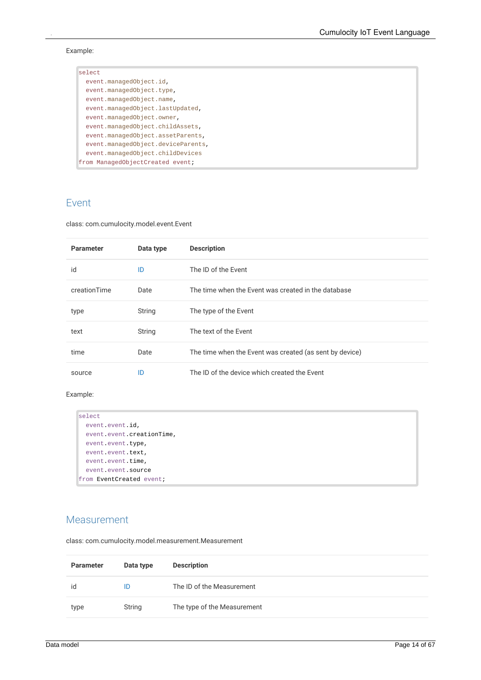Example:

| select                             |
|------------------------------------|
| event.managedObject.id,            |
| event.managedObject.type,          |
| event.managedObject.name,          |
| event.managedObject.lastUpdated,   |
| event.managedObject.owner,         |
| event.managedObject.childAssets,   |
| event.managedObject.assetParents,  |
| event.managedObject.deviceParents, |
| event.managedObject.childDevices   |
| from ManagedObjectCreated event;   |

### <span id="page-13-0"></span>Event

class: com.cumulocity.model.event.Event

| <b>Parameter</b> | Data type | <b>Description</b>                                      |
|------------------|-----------|---------------------------------------------------------|
| id               | ID        | The ID of the Event                                     |
| creationTime     | Date      | The time when the Event was created in the database     |
| type             | String    | The type of the Event                                   |
| text             | String    | The text of the Event                                   |
| time             | Date      | The time when the Event was created (as sent by device) |
| source           | ID        | The ID of the device which created the Event            |

#### Example:

```
select
  event.event.id,
  event.event.creationTime,
  event.event.type,
  event.event.text,
  event.event.time,
  event.event.source
from EventCreated event;
```
#### <span id="page-13-1"></span>Measurement

class: com.cumulocity.model.measurement.Measurement

| <b>Parameter</b> | Data type | <b>Description</b>          |
|------------------|-----------|-----------------------------|
| id               | ID        | The ID of the Measurement   |
| type             | String    | The type of the Measurement |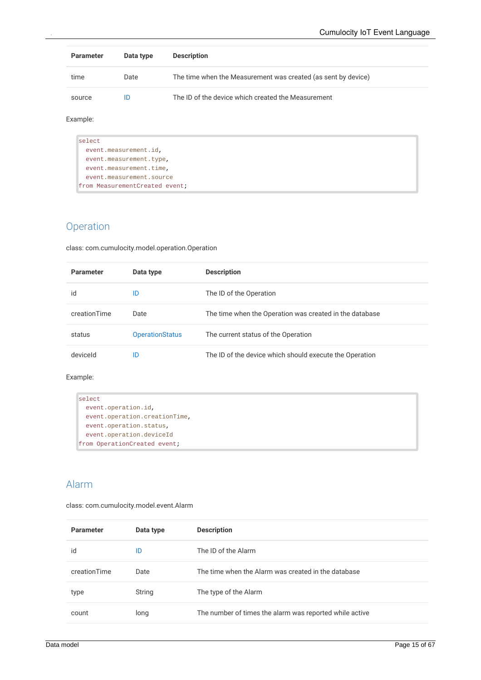| <b>Parameter</b> | Data type | <b>Description</b>                                            |
|------------------|-----------|---------------------------------------------------------------|
| time             | Date      | The time when the Measurement was created (as sent by device) |
| source           | ID        | The ID of the device which created the Measurement            |

Example:

| select                         |  |
|--------------------------------|--|
| event.measurement.id,          |  |
| event.measurement.type,        |  |
| event.measurement.time,        |  |
| event.measurement.source       |  |
| from MeasurementCreated event; |  |

### <span id="page-14-0"></span>Operation

class: com.cumulocity.model.operation.Operation

| <b>Parameter</b> | Data type              | <b>Description</b>                                      |
|------------------|------------------------|---------------------------------------------------------|
| id               | ID                     | The ID of the Operation                                 |
| creationTime     | Date                   | The time when the Operation was created in the database |
| status           | <b>OperationStatus</b> | The current status of the Operation                     |
| deviceld         | ID                     | The ID of the device which should execute the Operation |

#### Example:

```
select
  event.operation.id,
  event.operation.creationTime,
  event.operation.status,
  event.operation.deviceId
from OperationCreated event;
```
### <span id="page-14-1"></span>Alarm

class: com.cumulocity.model.event.Alarm

| <b>Parameter</b> | Data type | <b>Description</b>                                      |
|------------------|-----------|---------------------------------------------------------|
| id               | ID        | The ID of the Alarm                                     |
| creationTime     | Date      | The time when the Alarm was created in the database     |
| type             | String    | The type of the Alarm                                   |
| count            | long      | The number of times the alarm was reported while active |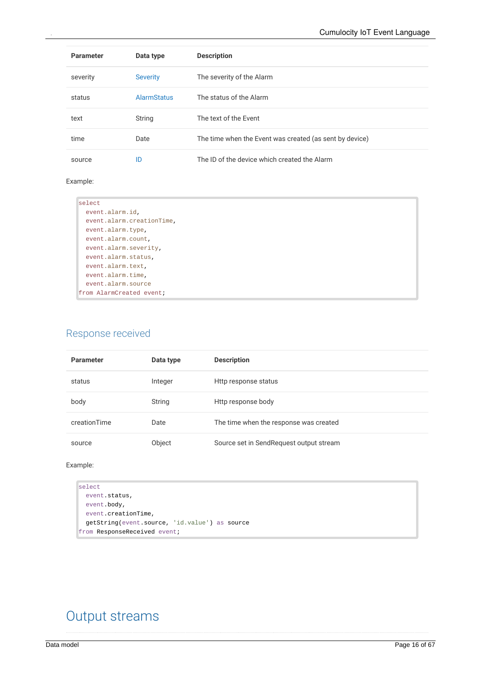| <b>Parameter</b> | Data type          | <b>Description</b>                                      |
|------------------|--------------------|---------------------------------------------------------|
| severity         | <b>Severity</b>    | The severity of the Alarm                               |
| status           | <b>AlarmStatus</b> | The status of the Alarm                                 |
| text             | String             | The text of the Event                                   |
| time             | Date               | The time when the Event was created (as sent by device) |
| source           | ID                 | The ID of the device which created the Alarm            |

#### Example:

| select                    |  |
|---------------------------|--|
| event.alarm.id,           |  |
| event.alarm.creationTime, |  |
| event.alarm.type,         |  |
| event.alarm.count,        |  |
| event.alarm.severity,     |  |
| event.alarm.status,       |  |
| event.alarm.text,         |  |
| event.alarm.time,         |  |
| event.alarm.source        |  |
| from AlarmCreated event;  |  |

### <span id="page-15-0"></span>Response received

| <b>Parameter</b> | Data type | <b>Description</b>                      |
|------------------|-----------|-----------------------------------------|
| status           | Integer   | Http response status                    |
| body             | String    | Http response body                      |
| creationTime     | Date      | The time when the response was created  |
| source           | Object    | Source set in SendRequest output stream |

#### Example:

```
select
 event.status,
 event.body,
 event.creationTime,
  getString(event.source, 'id.value') as source
from ResponseReceived event;
```
## <span id="page-15-1"></span>Output streams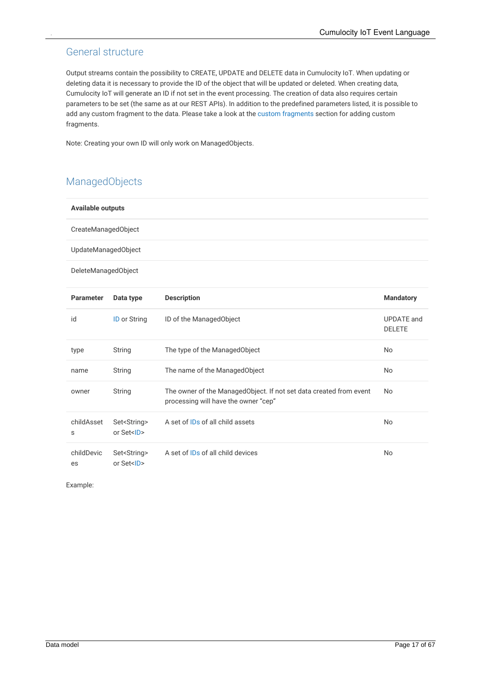### <span id="page-16-0"></span>General structure

Output streams contain the possibility to CREATE, UPDATE and DELETE data in Cumulocity IoT. When updating or deleting data it is necessary to provide the ID of the object that will be updated or deleted. When creating data, Cumulocity IoT will generate an ID if not set in the event processing. The creation of data also requires certain parameters to be set (the same as at our REST APIs). In addition to the predefined parameters listed, it is possible to add any custom fragment to the data. Please take a look at the custom [fragments](#page-33-0) section for adding custom fragments.

Note: Creating your own ID will only work on ManagedObjects.

### <span id="page-16-1"></span>ManagedObjects

| <b>Available outputs</b> |                                           |                                                                                                            |                                    |  |
|--------------------------|-------------------------------------------|------------------------------------------------------------------------------------------------------------|------------------------------------|--|
| CreateManagedObject      |                                           |                                                                                                            |                                    |  |
| UpdateManagedObject      |                                           |                                                                                                            |                                    |  |
| DeleteManagedObject      |                                           |                                                                                                            |                                    |  |
| <b>Parameter</b>         | Data type                                 | <b>Description</b>                                                                                         | <b>Mandatory</b>                   |  |
| id                       | <b>ID</b> or String                       | ID of the ManagedObject                                                                                    | <b>UPDATE</b> and<br><b>DELETE</b> |  |
| type                     | String                                    | The type of the ManagedObject                                                                              | No                                 |  |
| name                     | String                                    | The name of the ManagedObject                                                                              | No                                 |  |
| owner                    | String                                    | The owner of the ManagedObject. If not set data created from event<br>processing will have the owner "cep" | No                                 |  |
| childAsset<br>S          | Set <string><br/>or Set<id></id></string> | A set of IDs of all child assets                                                                           | No                                 |  |
| childDevic<br>es         | Set <string><br/>or Set<id></id></string> | A set of IDs of all child devices                                                                          | <b>No</b>                          |  |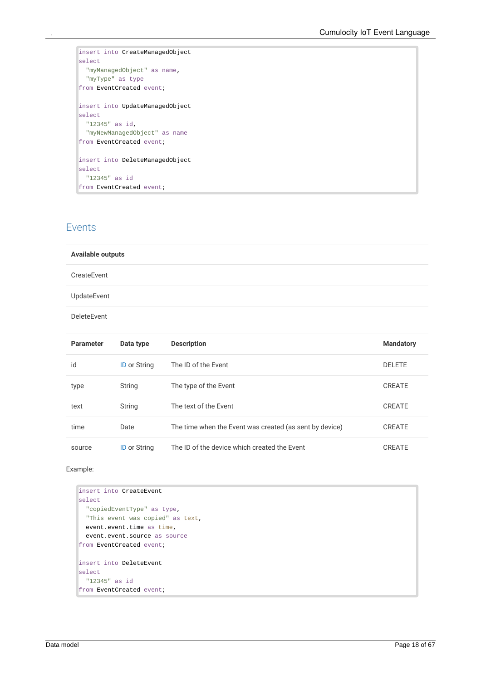```
insert into CreateManagedObject
select
  "myManagedObject" as name,
 "myType" as type
from EventCreated event;
insert into UpdateManagedObject
select
  "12345" as id,
 "myNewManagedObject" as name
from EventCreated event;
insert into DeleteManagedObject
select
  "12345" as id
from EventCreated event;
```
#### <span id="page-17-0"></span>Events

#### **Available outputs**

#### CreateEvent

UpdateEvent

DeleteEvent

| <b>Parameter</b> | Data type           | <b>Description</b>                                      | <b>Mandatory</b> |
|------------------|---------------------|---------------------------------------------------------|------------------|
| id               | <b>ID or String</b> | The ID of the Event                                     | <b>DELETE</b>    |
| type             | String              | The type of the Event                                   | <b>CREATE</b>    |
| text             | String              | The text of the Event                                   | CREATE           |
| time             | Date                | The time when the Event was created (as sent by device) | <b>CREATE</b>    |
| source           | <b>ID or String</b> | The ID of the device which created the Event            | CREATE           |

```
insert into CreateEvent
select
  "copiedEventType" as type,
  "This event was copied" as text,
  event.event.time as time,
  event.event.source as source
from EventCreated event;
insert into DeleteEvent
select
 "12345" as id
from EventCreated event;
```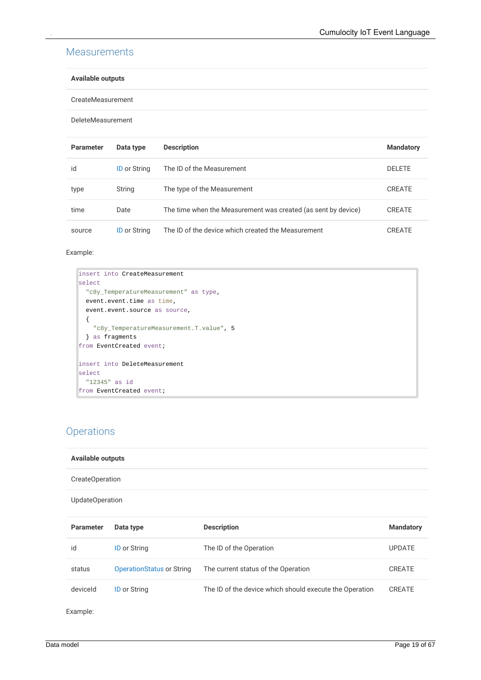#### <span id="page-18-0"></span>**Measurements**

#### **Available outputs**

CreateMeasurement

DeleteMeasurement

| <b>Parameter</b> | Data type           | <b>Description</b>                                            | <b>Mandatory</b> |
|------------------|---------------------|---------------------------------------------------------------|------------------|
| id               | <b>ID</b> or String | The ID of the Measurement                                     | <b>DELETE</b>    |
| type             | String              | The type of the Measurement                                   | <b>CREATE</b>    |
| time             | Date                | The time when the Measurement was created (as sent by device) | CREATE           |
| source           | <b>ID</b> or String | The ID of the device which created the Measurement            | CREATE           |

#### Example:

```
insert into CreateMeasurement
select
  "c8y_TemperatureMeasurement" as type,
  event.event.time as time,
  event.event.source as source,
  {
    "c8y_TemperatureMeasurement.T.value", 5
  } as fragments
from EventCreated event;
insert into DeleteMeasurement
select
  "12345" as id
from EventCreated event;
```
### <span id="page-18-1"></span>**Operations**

| <b>Available outputs</b> |                                  |                                                         |                  |  |  |
|--------------------------|----------------------------------|---------------------------------------------------------|------------------|--|--|
| CreateOperation          |                                  |                                                         |                  |  |  |
| UpdateOperation          |                                  |                                                         |                  |  |  |
| <b>Parameter</b>         | Data type                        | <b>Description</b>                                      | <b>Mandatory</b> |  |  |
| id                       | <b>ID or String</b>              | The ID of the Operation                                 | <b>UPDATE</b>    |  |  |
| status                   | <b>OperationStatus or String</b> | The current status of the Operation                     | <b>CREATE</b>    |  |  |
| deviceld                 | <b>ID or String</b>              | The ID of the device which should execute the Operation | <b>CREATE</b>    |  |  |
| Example:                 |                                  |                                                         |                  |  |  |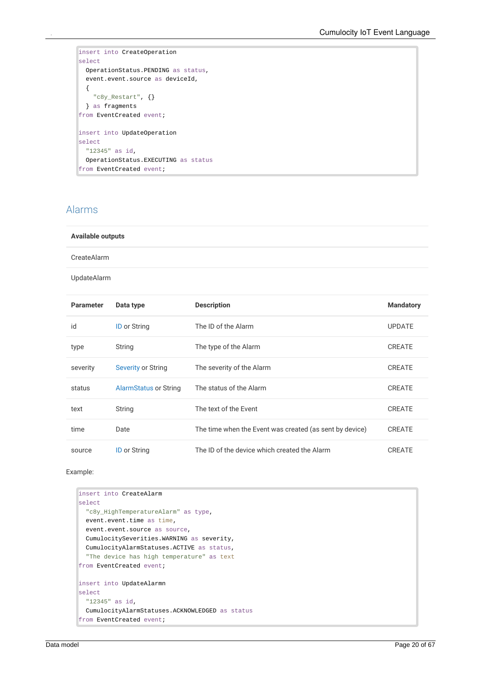```
insert into CreateOperation
select
  OperationStatus.PENDING as status,
  event.event.source as deviceId,
  {
    "c8y_Restart", {}
  } as fragments
from EventCreated event;
insert into UpdateOperation
select
  "12345" as id,
  OperationStatus.EXECUTING as status
from EventCreated event;
```
### <span id="page-19-0"></span>Alarms

#### **Available outputs**

CreateAlarm

UpdateAlarm

| <b>Parameter</b> | Data type                    | <b>Description</b>                                      | <b>Mandatory</b> |
|------------------|------------------------------|---------------------------------------------------------|------------------|
| id               | <b>ID</b> or String          | The ID of the Alarm                                     | <b>UPDATE</b>    |
| type             | String                       | The type of the Alarm                                   | <b>CREATE</b>    |
| severity         | <b>Severity or String</b>    | The severity of the Alarm                               | <b>CREATE</b>    |
| status           | <b>AlarmStatus or String</b> | The status of the Alarm                                 | <b>CREATE</b>    |
| text             | String                       | The text of the Event                                   | <b>CREATE</b>    |
| time             | Date                         | The time when the Event was created (as sent by device) | <b>CREATE</b>    |
| source           | <b>ID or String</b>          | The ID of the device which created the Alarm            | <b>CREATE</b>    |

```
insert into CreateAlarm
select
  "c8y_HighTemperatureAlarm" as type,
  event.event.time as time,
  event.event.source as source,
  CumulocitySeverities.WARNING as severity,
  CumulocityAlarmStatuses.ACTIVE as status,
  "The device has high temperature" as text
from EventCreated event;
insert into UpdateAlarmn
select
  "12345" as id,
  CumulocityAlarmStatuses.ACKNOWLEDGED as status
from EventCreated event;
```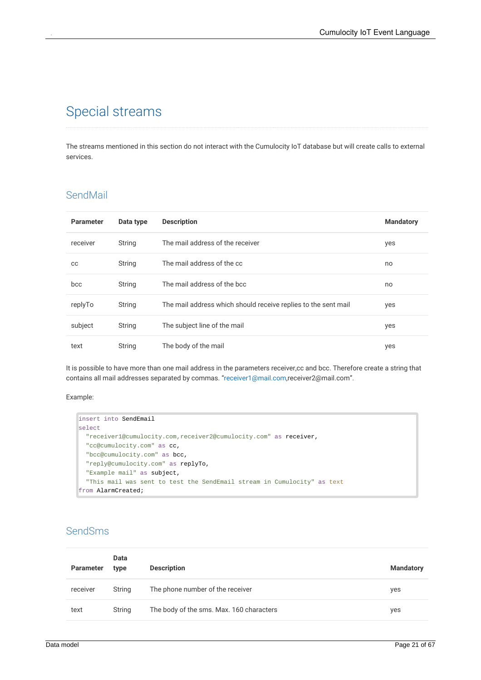## <span id="page-20-0"></span>Special streams

The streams mentioned in this section do not interact with the Cumulocity IoT database but will create calls to external services.

### <span id="page-20-1"></span>SendMail

| <b>Parameter</b> | Data type | <b>Description</b>                                             | <b>Mandatory</b> |
|------------------|-----------|----------------------------------------------------------------|------------------|
| receiver         | String    | The mail address of the receiver                               | yes              |
| CС               | String    | The mail address of the cc                                     | no               |
| bcc              | String    | The mail address of the bcc                                    | no               |
| replyTo          | String    | The mail address which should receive replies to the sent mail | yes              |
| subject          | String    | The subject line of the mail                                   | yes              |
| text             | String    | The body of the mail                                           | yes              |

It is possible to have more than one mail address in the parameters receiver,cc and bcc. Therefore create a string that contains all mail addresses separated by commas. ["receiver1@mail.com](mailto:receiver1@mail.com),receiver2@mail.com".

#### Example:

```
insert into SendEmail
select
  "receiver1@cumulocity.com,receiver2@cumulocity.com" as receiver,
  "cc@cumulocity.com" as cc,
  "bcc@cumulocity.com" as bcc,
  "reply@cumulocity.com" as replyTo,
  "Example mail" as subject,
  "This mail was sent to test the SendEmail stream in Cumulocity" as text
from AlarmCreated;
```
### <span id="page-20-2"></span>SendSms

| <b>Parameter</b> | Data<br>type | <b>Description</b>                       | <b>Mandatory</b> |
|------------------|--------------|------------------------------------------|------------------|
| receiver         | String       | The phone number of the receiver         | yes              |
| text             | String       | The body of the sms. Max. 160 characters | yes              |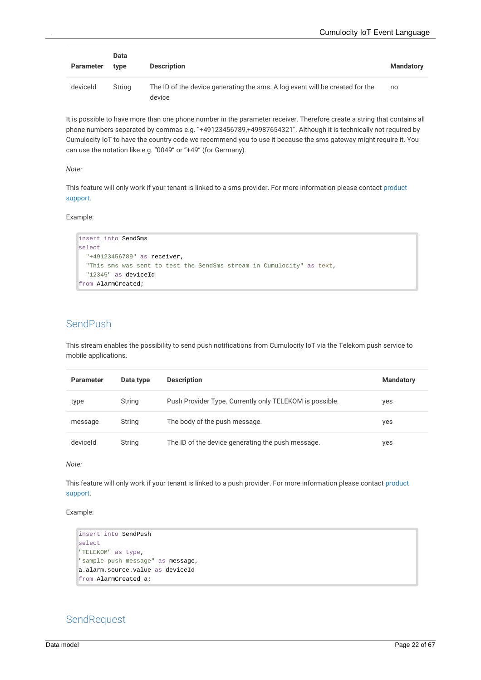| Parameter | Data<br>type | <b>Description</b>                                                                     | <b>Mandatory</b> |
|-----------|--------------|----------------------------------------------------------------------------------------|------------------|
| deviceld  | String       | The ID of the device generating the sms. A log event will be created for the<br>device | no               |

It is possible to have more than one phone number in the parameter receiver. Therefore create a string that contains all phone numbers separated by commas e.g. "+49123456789,+49987654321". Although it is technically not required by Cumulocity IoT to have the country code we recommend you to use it because the sms gateway might require it.You can use the notation like e.g. "0049" or "+49" (for Germany).

*Note:*

This feature will only work if your tenant is linked to a sms provider. For more [information](https://cumulocity.com/guides/welcome/contacting-support/) please contact product support.

Example:

```
insert into SendSms
select
  "+49123456789" as receiver,
  "This sms was sent to test the SendSms stream in Cumulocity" as text,
  "12345" as deviceId
from AlarmCreated;
```
#### <span id="page-21-0"></span>SendPush

This stream enables the possibility to send push notifications from Cumulocity IoT via the Telekom push service to mobile applications.

| <b>Parameter</b> | Data type | <b>Description</b>                                      | <b>Mandatory</b> |
|------------------|-----------|---------------------------------------------------------|------------------|
| type             | String    | Push Provider Type. Currently only TELEKOM is possible. | yes              |
| message          | String    | The body of the push message.                           | yes              |
| deviceld         | String    | The ID of the device generating the push message.       | yes              |

*Note:*

This feature will only work if your tenant is linked to a push provider. For more [information](https://cumulocity.com/guides/welcome/contacting-support/) please contact product support.

Example:

```
insert into SendPush
select
"TELEKOM" as type,
"sample push message" as message,
a.alarm.source.value as deviceId
from AlarmCreated a;
```
#### <span id="page-21-1"></span>**SendRequest**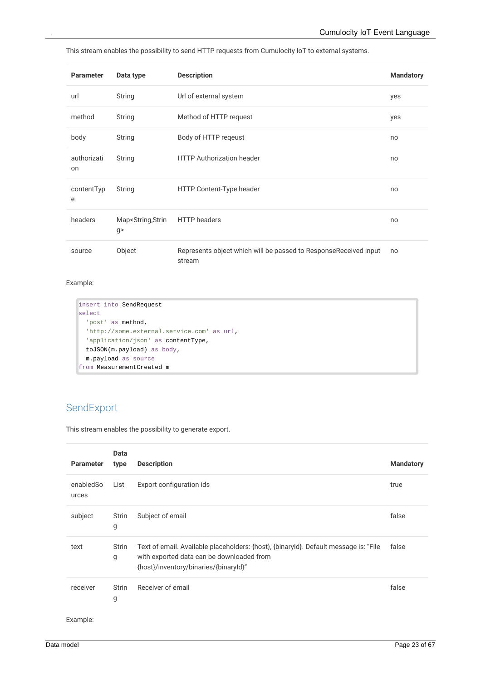This stream enables the possibility to send HTTP requests from Cumulocity IoT to external systems.

| <b>Parameter</b>  | Data type                                | <b>Description</b>                                                         | <b>Mandatory</b> |
|-------------------|------------------------------------------|----------------------------------------------------------------------------|------------------|
| url               | String                                   | Url of external system                                                     | yes              |
| method            | String                                   | Method of HTTP request                                                     | yes              |
| body              | String                                   | Body of HTTP regeust                                                       | no               |
| authorizati<br>on | String                                   | <b>HTTP Authorization header</b>                                           | no               |
| contentTyp<br>e   | String                                   | HTTP Content-Type header                                                   | no               |
| headers           | Map <string,strin<br>g</string,strin<br> | <b>HTTP</b> headers                                                        | no               |
| source            | Object                                   | Represents object which will be passed to ResponseReceived input<br>stream | no               |

#### Example:

```
insert into SendRequest
select
  'post' as method,
  'http://some.external.service.com' as url,
  'application/json' as contentType,
  toJSON(m.payload) as body,
  m.payload as source
from MeasurementCreated m
```
### <span id="page-22-0"></span>SendExport

This stream enables the possibility to generate export.

| <b>Parameter</b>   | Data<br>type      | <b>Description</b>                                                                                                                                                         | <b>Mandatory</b> |
|--------------------|-------------------|----------------------------------------------------------------------------------------------------------------------------------------------------------------------------|------------------|
| enabledSo<br>urces | List              | Export configuration ids                                                                                                                                                   | true             |
| subject            | Strin<br>g        | Subject of email                                                                                                                                                           | false            |
| text               | <b>Strin</b><br>g | Text of email. Available placeholders: {host}, {binaryId}. Default message is: "File<br>with exported data can be downloaded from<br>{host}/inventory/binaries/{binaryId}" | false            |
| receiver           | Strin<br>g        | Receiver of email                                                                                                                                                          | false            |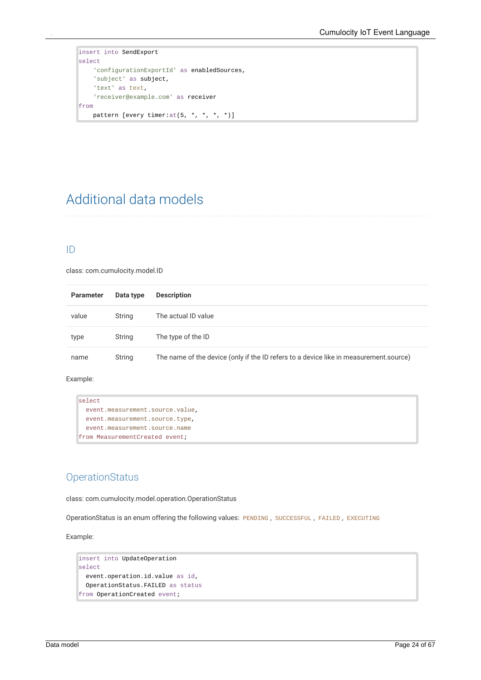```
insert into SendExport
select
    'configurationExportId' as enabledSources,
    'subject' as subject,
    'text' as text,
    'receiver@example.com' as receiver
from
    pattern [every timer:at(5, *, *, *, *)]
```
## <span id="page-23-0"></span>Additional data models

#### <span id="page-23-1"></span>ID

class: com.cumulocity.model.ID

| <b>Parameter</b> | Data type | <b>Description</b>                                                                    |
|------------------|-----------|---------------------------------------------------------------------------------------|
| value            | String    | The actual ID value                                                                   |
| type             | String    | The type of the ID                                                                    |
| name             | String    | The name of the device (only if the ID refers to a device like in measurement source) |

#### Example:

```
select
  event.measurement.source.value,
  event.measurement.source.type,
  event.measurement.source.name
from MeasurementCreated event;
```
### <span id="page-23-2"></span>**OperationStatus**

class: com.cumulocity.model.operation.OperationStatus

OperationStatus is an enum offering the following values: PENDING , SUCCESSFUL , FAILED , EXECUTING

```
insert into UpdateOperation
select
  event.operation.id.value as id,
  OperationStatus.FAILED as status
from OperationCreated event;
```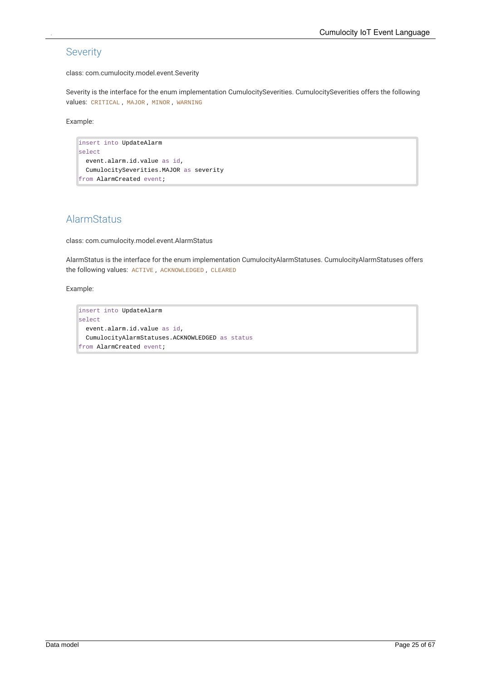### <span id="page-24-0"></span>Severity

class: com.cumulocity.model.event.Severity

Severity is the interface for the enum implementation CumulocitySeverities. CumulocitySeverities offers the following values: CRITICAL , MAJOR , MINOR , WARNING

Example:

```
insert into UpdateAlarm
select
  event.alarm.id.value as id,
  CumulocitySeverities.MAJOR as severity
from AlarmCreated event;
```
### <span id="page-24-1"></span>AlarmStatus

class: com.cumulocity.model.event.AlarmStatus

AlarmStatus is the interface for the enum implementation CumulocityAlarmStatuses. CumulocityAlarmStatuses offers the following values: ACTIVE , ACKNOWLEDGED , CLEARED

```
insert into UpdateAlarm
select
  event.alarm.id.value as id,
  CumulocityAlarmStatuses.ACKNOWLEDGED as status
from AlarmCreated event;
```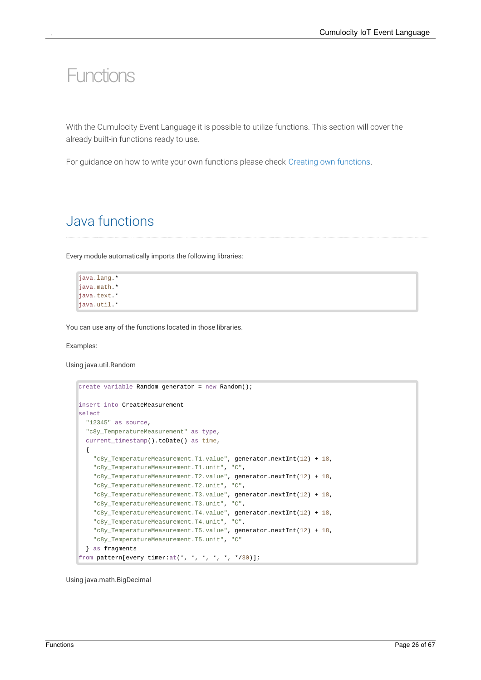# <span id="page-25-0"></span>Functions

With the Cumulocity Event Language it is possible to utilize functions. This section will cover the already built-in functions ready to use.

<span id="page-25-1"></span>For guidance on how to write your own functions please check Creating own [functions](#page-38-0).

## Java functions

Every module automatically imports the following libraries:

```
java.lang.*
java.math.*
java.text.*
java.util.*
```
You can use any of the functions located in those libraries.

Examples:

Using java.util.Random

```
create variable Random generator = new Random();
insert into CreateMeasurement
select
  "12345" as source,
  "c8y_TemperatureMeasurement" as type,
  current_timestamp().toDate() as time,
  {
    "c8y_TemperatureMeasurement.T1.value", generator.nextInt(12) + 18,
    "c8y_TemperatureMeasurement.T1.unit", "C",
    "c8y_TemperatureMeasurement.T2.value", generator.nextInt(12) + 18,
    "c8y_TemperatureMeasurement.T2.unit", "C",
    "c8y_TemperatureMeasurement.T3.value", generator.nextInt(12) + 18,
    "c8y_TemperatureMeasurement.T3.unit", "C",
    "c8y_TemperatureMeasurement.T4.value", generator.nextInt(12) + 18,
    "c8y_TemperatureMeasurement.T4.unit", "C",
    "c8y_TemperatureMeasurement.T5.value", generator.nextInt(12) + 18,
    "c8y_TemperatureMeasurement.T5.unit", "C"
  } as fragments
from pattern[every timer:at(*, *, *, *, *, */30)];
```
Using java.math.BigDecimal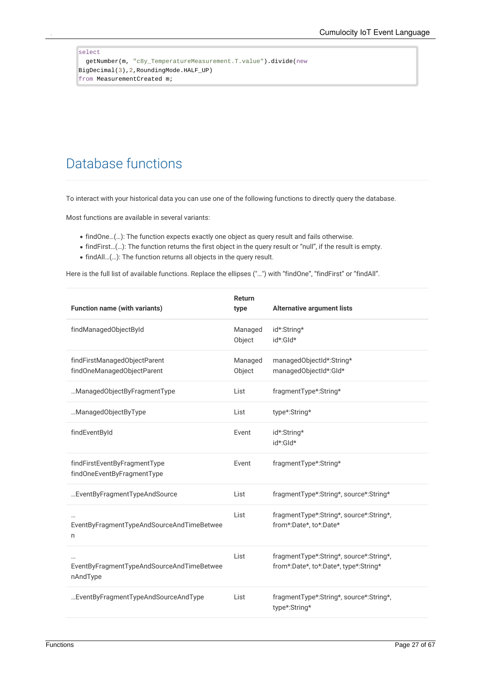#### <span id="page-26-0"></span>select getNumber(m, "c8y\_TemperatureMeasurement.T.value").divide(new BigDecimal(3),2,RoundingMode.HALF\_UP) from MeasurementCreated m;

## Database functions

To interact with your historical data you can use one of the following functions to directly query the database.

Most functions are available in several variants:

- findOne…(…): The function expects exactly one object as query result and fails otherwise.
- findFirst…(…): The function returns the first object in the query result or "null", if the result is empty.
- findAll…(…): The function returns all objects in the query result.

Here is the full list of available functions. Replace the ellipses ("…") with "findOne", "findFirst" or "findAll".

| <b>Function name (with variants)</b>                       | Return<br>type    | <b>Alternative argument lists</b>                                                |
|------------------------------------------------------------|-------------------|----------------------------------------------------------------------------------|
| findManagedObjectById                                      | Managed<br>Object | id*:String*<br>id*:Gld*                                                          |
| findFirstManagedObjectParent<br>findOneManagedObjectParent | Managed<br>Object | managedObjectId*:String*<br>managedObjectId*:Gld*                                |
| ManagedObjectByFragmentType                                | List              | fragmentType*:String*                                                            |
| ManagedObjectByType                                        | List              | type*:String*                                                                    |
| findEventById                                              | Event             | id*:String*<br>id*:Gld*                                                          |
| findFirstEventByFragmentType<br>findOneEventByFragmentType | Event             | fragmentType*:String*                                                            |
| EventByFragmentTypeAndSource                               | List              | fragmentType*:String*, source*:String*                                           |
| EventByFragmentTypeAndSourceAndTimeBetwee<br>n             | List              | fragmentType*:String*, source*:String*,<br>from*:Date*, to*:Date*                |
| EventByFragmentTypeAndSourceAndTimeBetwee<br>nAndType      | List              | fragmentType*:String*, source*:String*,<br>from*:Date*, to*:Date*, type*:String* |
| EventByFragmentTypeAndSourceAndType                        | List              | fragmentType*:String*, source*:String*,<br>type*:String*                         |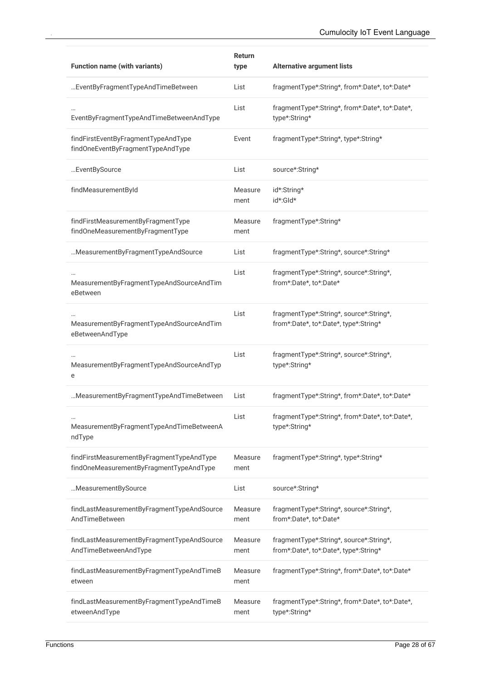| <b>Function name (with variants)</b>                                                 | <b>Return</b><br>type | <b>Alternative argument lists</b>                                                |
|--------------------------------------------------------------------------------------|-----------------------|----------------------------------------------------------------------------------|
| EventByFragmentTypeAndTimeBetween                                                    | List                  | fragmentType*:String*, from*:Date*, to*:Date*                                    |
| EventByFragmentTypeAndTimeBetweenAndType                                             | List                  | fragmentType*:String*, from*:Date*, to*:Date*,<br>type*:String*                  |
| findFirstEventByFragmentTypeAndType<br>findOneEventByFragmentTypeAndType             | Event                 | fragmentType*:String*, type*:String*                                             |
| EventBySource                                                                        | List                  | source*:String*                                                                  |
| findMeasurementById                                                                  | Measure<br>ment       | id*:String*<br>id*:Gld*                                                          |
| findFirstMeasurementByFragmentType<br>findOneMeasurementByFragmentType               | Measure<br>ment       | fragmentType*:String*                                                            |
| MeasurementByFragmentTypeAndSource                                                   | List                  | fragmentType*:String*, source*:String*                                           |
| MeasurementByFragmentTypeAndSourceAndTim<br>eBetween                                 | List                  | fragmentType*:String*, source*:String*,<br>from*:Date*, to*:Date*                |
| MeasurementByFragmentTypeAndSourceAndTim<br>eBetweenAndType                          | List                  | fragmentType*:String*, source*:String*,<br>from*:Date*, to*:Date*, type*:String* |
| MeasurementByFragmentTypeAndSourceAndTyp<br>e                                        | List                  | fragmentType*:String*, source*:String*,<br>type*:String*                         |
| Measurement By Fragment Type And Time Between                                        | List                  | fragmentType*:String*, from*:Date*, to*:Date*                                    |
| MeasurementByFragmentTypeAndTimeBetweenA<br>ndType                                   | List                  | fragmentType*:String*, from*:Date*, to*:Date*,<br>type*:String*                  |
| findFirstMeasurementByFragmentTypeAndType<br>findOneMeasurementByFragmentTypeAndType | Measure<br>ment       | fragmentType*:String*, type*:String*                                             |
| MeasurementBySource                                                                  | List                  | source*:String*                                                                  |
| findLastMeasurementByFragmentTypeAndSource<br>AndTimeBetween                         | Measure<br>ment       | fragmentType*:String*, source*:String*,<br>from*:Date*, to*:Date*                |
| findLastMeasurementByFragmentTypeAndSource<br>AndTimeBetweenAndType                  | Measure<br>ment       | fragmentType*:String*, source*:String*,<br>from*:Date*, to*:Date*, type*:String* |
| findLastMeasurementByFragmentTypeAndTimeB<br>etween                                  | Measure<br>ment       | fragmentType*:String*, from*:Date*, to*:Date*                                    |
| findLastMeasurementByFragmentTypeAndTimeB<br>etweenAndType                           | Measure<br>ment       | fragmentType*:String*, from*:Date*, to*:Date*,<br>type*:String*                  |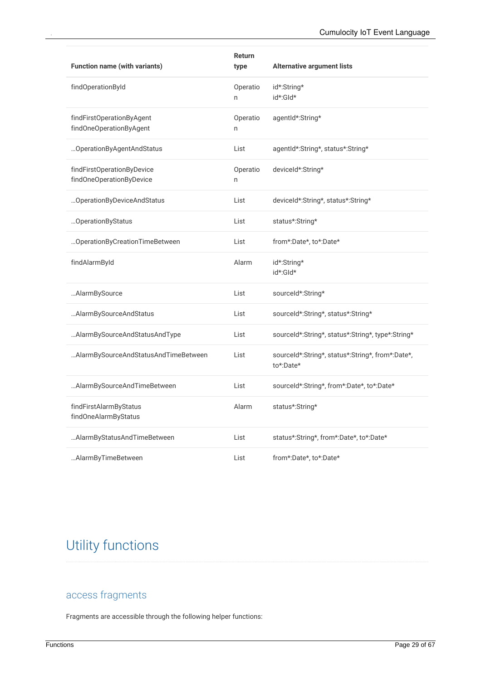| <b>Function name (with variants)</b>                   | Return<br>type | <b>Alternative argument lists</b>                             |
|--------------------------------------------------------|----------------|---------------------------------------------------------------|
| findOperationById                                      | Operatio<br>n  | id*:String*<br>id*:Gld*                                       |
| findFirstOperationByAgent<br>findOneOperationByAgent   | Operatio<br>n  | agentId*:String*                                              |
| Operation By Agent And Status                          | List           | agentId*:String*, status*:String*                             |
| findFirstOperationByDevice<br>findOneOperationByDevice | Operatio<br>n  | deviceId*:String*                                             |
| OperationByDeviceAndStatus                             | List           | deviceId*:String*, status*:String*                            |
| OperationByStatus                                      | List           | status*:String*                                               |
| OperationByCreationTimeBetween                         | List           | from*:Date*, to*:Date*                                        |
| findAlarmById                                          | Alarm          | id*:String*<br>id*:Gld*                                       |
| AlarmBySource                                          | List           | sourceId*:String*                                             |
| Alarm By Source And Status                             | List           | sourceId*:String*, status*:String*                            |
| Alarm By Source And Status And Type                    | List           | sourceId*:String*, status*:String*, type*:String*             |
| Alarm By Source And Status And Time Between            | List           | sourceld*:String*, status*:String*, from*:Date*,<br>to*:Date* |
| AlarmBySourceAndTimeBetween                            | List           | sourceId*:String*, from*:Date*, to*:Date*                     |
| findFirstAlarmByStatus<br>findOneAlarmByStatus         | Alarm          | status*:String*                                               |
| Alarm By Status And Time Between                       | List           | status*:String*, from*:Date*, to*:Date*                       |
| AlarmByTimeBetween                                     | List           | from*:Date*, to*:Date*                                        |

## <span id="page-28-0"></span>Utility functions

### <span id="page-28-1"></span>access fragments

Fragments are accessible through the following helper functions: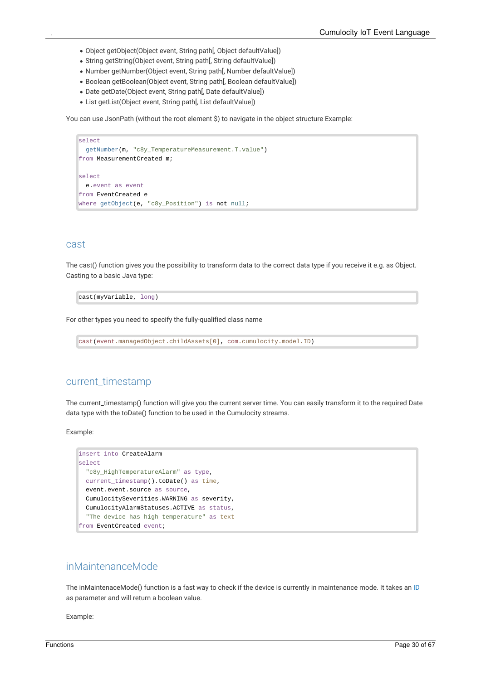- Object getObject(Object event, String path[, Object defaultValue])
- String getString(Object event, String path[, String defaultValue])
- Number getNumber(Object event, String path[, Number defaultValue])
- Boolean getBoolean(Object event, String path[, Boolean defaultValue])
- Date getDate(Object event, String path[, Date defaultValue])
- List getList(Object event, String path[, List defaultValue])

You can use JsonPath (without the root element \$) to navigate in the object structure Example:

```
select
  getNumber(m, "c8y_TemperatureMeasurement.T.value")
from MeasurementCreated m;
select
 e.event as event
from EventCreated e
where getObject(e, "c8y_Position") is not null;
```
#### <span id="page-29-0"></span>cast

The cast() function gives you the possibility to transform data to the correct data type if you receive it e.g. as Object. Casting to a basic Java type:

cast(myVariable, long)

For other types you need to specify the fully-qualified class name

```
cast(event.managedObject.childAssets[0], com.cumulocity.model.ID)
```
#### <span id="page-29-1"></span>current\_timestamp

The current\_timestamp() function will give you the current server time. You can easily transform it to the required Date data type with the toDate() function to be used in the Cumulocity streams.

Example:

```
insert into CreateAlarm
select
  "c8y_HighTemperatureAlarm" as type,
  current_timestamp().toDate() as time,
  event.event.source as source,
  CumulocitySeverities.WARNING as severity,
  CumulocityAlarmStatuses.ACTIVE as status,
  "The device has high temperature" as text
from EventCreated event;
```
### <span id="page-29-2"></span>inMaintenanceMode

The inMaintenaceMode() function is a fast way to check if the device is currently in maintenance mode. It takes an [ID](http://localhost:1313/guides/event-language/data-model#id) as parameter and will return a boolean value.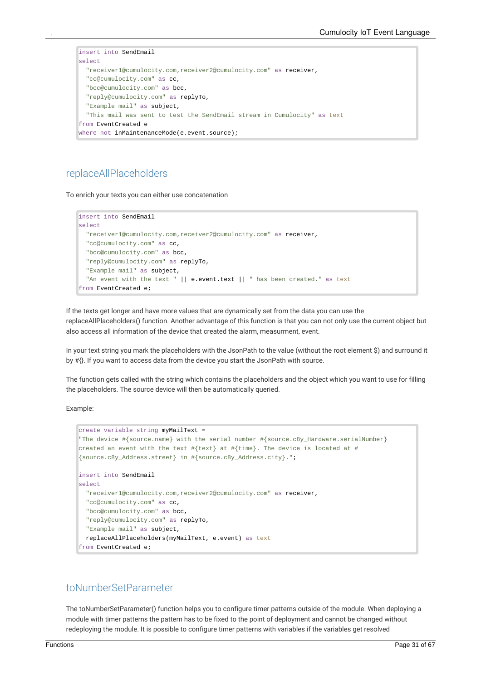```
insert into SendEmail
select
 "receiver1@cumulocity.com,receiver2@cumulocity.com" as receiver,
 "cc@cumulocity.com" as cc,
  "bcc@cumulocity.com" as bcc,
 "reply@cumulocity.com" as replyTo,
 "Example mail" as subject,
  "This mail was sent to test the SendEmail stream in Cumulocity" as text
from EventCreated e
where not inMaintenanceMode(e.event.source);
```
### <span id="page-30-0"></span>replaceAllPlaceholders

To enrich your texts you can either use concatenation

```
insert into SendEmail
select
  "receiver1@cumulocity.com,receiver2@cumulocity.com" as receiver,
  "cc@cumulocity.com" as cc,
  "bcc@cumulocity.com" as bcc,
  "reply@cumulocity.com" as replyTo,
  "Example mail" as subject,
  "An event with the text " || e.event.text || " has been created." as text
from EventCreated e;
```
If the texts get longer and have more values that are dynamically set from the data you can use the replaceAllPlaceholders() function. Another advantage of this function is that you can not only use the current object but also access all information of the device that created the alarm, measurment, event.

In your text string you mark the placeholders with the JsonPath to the value (without the root element \$) and surround it by #{}. If you want to access data from the device you start the JsonPath with source.

The function gets called with the string which contains the placeholders and the object which you want to use for filling the placeholders. The source device will then be automatically queried.

Example:

```
create variable string myMailText =
"The device #{source.name} with the serial number #{source.c8y_Hardware.serialNumber}
created an event with the text \#\{\text{text}\} at \#\{\text{time}\}. The device is located at \#{source.c8y_Address.street} in #{source.c8y_Address.city}.";
insert into SendEmail
select
  "receiver1@cumulocity.com,receiver2@cumulocity.com" as receiver,
  "cc@cumulocity.com" as cc,
  "bcc@cumulocity.com" as bcc,
  "reply@cumulocity.com" as replyTo,
  "Example mail" as subject,
  replaceAllPlaceholders(myMailText, e.event) as text
from EventCreated e;
```
#### <span id="page-30-1"></span>toNumberSetParameter

The toNumberSetParameter() function helps you to configure timer patterns outside of the module. When deploying a module with timer patterns the pattern has to be fixed to the point of deployment and cannot be changed without redeploying the module. It is possible to configure timer patterns with variables if the variables get resolved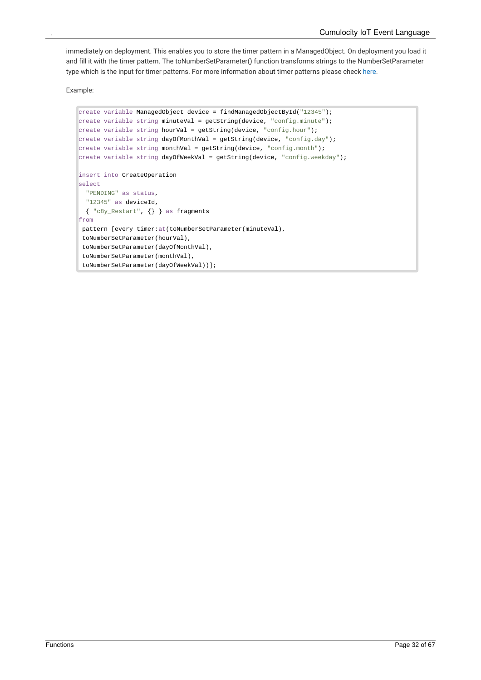immediately on deployment. This enables you to store the timer pattern in a ManagedObject. On deployment you load it and fillit with the timer pattern. The toNumberSetParameter() function transforms strings to the NumberSetParameter type which is the input for timer patterns. For more information about timer patterns please check [here](#page-35-2).

```
create variable ManagedObject device = findManagedObjectById("12345");
create variable string minuteVal = getString(device, "config.minute");
create variable string hourVal = getString(device, "config.hour");
create variable string dayOfMonthVal = getString(device, "config/day");create variable string monthVal = getString(device, "config.month");create variable string dayOfWeekVal = getString(device, "config.weekday");
insert into CreateOperation
select
 "PENDING" as status,
 "12345" as deviceId,
 { "c8y_Restart", {} } as fragments
from
 pattern [every timer: at(toNumberSetParameter(minuteVal),
 toNumberSetParameter(hourVal),
 toNumberSetParameter(dayOfMonthVal),
 toNumberSetParameter(monthVal),
 toNumberSetParameter(dayOfWeekVal))];
```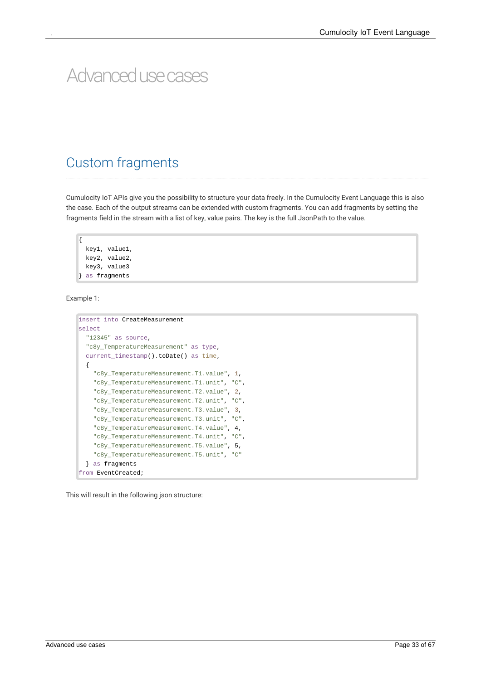# <span id="page-32-0"></span>Advancedusecases

### <span id="page-32-1"></span>Custom fragments

Cumulocity IoT APIs give you the possibility to structure your data freely. In the Cumulocity Event Language this is also the case. Each of the output streams can be extended with custom fragments. You can add fragments by setting the fragments field in the stream with a list of key, value pairs. The key is the full JsonPath to the value.

{ key1, value1, key2, value2, key3, value3 } as fragments

Example 1:

```
insert into CreateMeasurement
select
  "12345" as source,
  "c8y_TemperatureMeasurement" as type,
  current_timestamp().toDate() as time,
  {
    "c8y_TemperatureMeasurement.T1.value", 1,
    "c8y_TemperatureMeasurement.T1.unit", "C",
    "c8y_TemperatureMeasurement.T2.value", 2,
    "c8y_TemperatureMeasurement.T2.unit", "C",
    "c8y_TemperatureMeasurement.T3.value", 3,
    "c8y_TemperatureMeasurement.T3.unit", "C",
    "c8y_TemperatureMeasurement.T4.value", 4,
    "c8y_TemperatureMeasurement.T4.unit", "C",
    "c8y_TemperatureMeasurement.T5.value", 5,
    "c8y_TemperatureMeasurement.T5.unit", "C"
  } as fragments
from EventCreated;
```
This will result in the following json structure: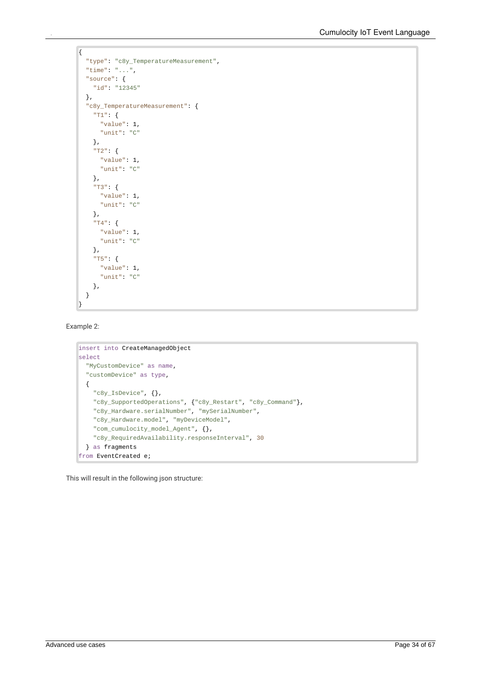```
\overline{\mathcal{L}}"type": "c8y_TemperatureMeasurement",
  "time": "...",
  "source": {
    "id": "12345"
  },
  "c8y_TemperatureMeasurement": {
    "T1": {
      "value": 1,
      "unit": "C"
    },
    "T2": {
      "value": 1,
      "unit": "C"
    },
     "T3": {
      "value": 1,
       "unit": "C"
    },
     "T4": {
      "value": 1,
       "unit": "C"
    },
    "T5": {
      "value": 1,
       "unit": "C"
    },
  }
\mathbf{R}
```
Example 2:

```
insert into CreateManagedObject
select
  "MyCustomDevice" as name,
  "customDevice" as type,
  {
    "c8y_IsDevice", {},
    "c8y_SupportedOperations", {"c8y_Restart", "c8y_Command"},
    "c8y_Hardware.serialNumber", "mySerialNumber",
    "c8y_Hardware.model", "myDeviceModel",
    "com_cumulocity_model_Agent", {},
    "c8y_RequiredAvailability.responseInterval", 30
  } as fragments
from EventCreated e;
```
This will result in the following json structure: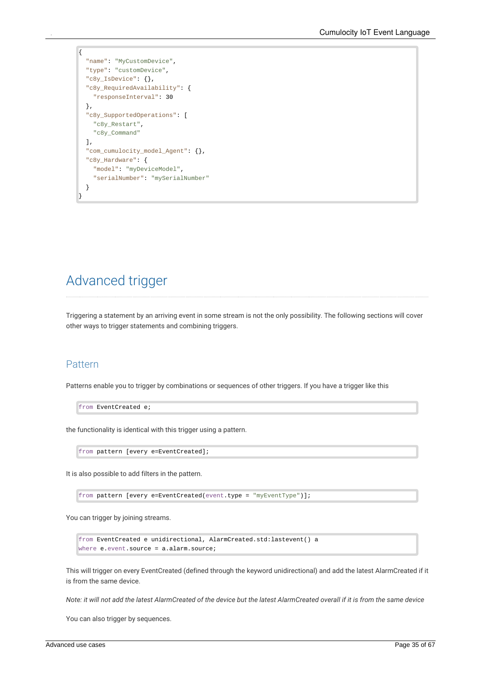```
{
  "name": "MyCustomDevice",
  "type": "customDevice",
  "c8y_IsDevice": {},
  "c8y_RequiredAvailability": {
    "responseInterval": 30
  },
  "c8y_SupportedOperations": [
    "c8y_Restart",
    "c8y_Command"
  \mathbf{1},
  "com_cumulocity_model_Agent": {},
  "c8y_Hardware": {
    "model": "myDeviceModel",
    "serialNumber": "mySerialNumber"
  }
}
```
## <span id="page-34-0"></span>Advanced trigger

Triggering a statement by an arriving event in some stream is not the only possibility. The following sections will cover other ways to trigger statements and combining triggers.

#### <span id="page-34-1"></span>Pattern

Patterns enable you to trigger by combinations or sequences of other triggers. If you have a trigger like this

from EventCreated e;

the functionality is identical with this trigger using a pattern.

from pattern [every e=EventCreated];

It is also possible to add filters in the pattern.

from pattern [every e=EventCreated(event.type = "myEventType")];

You can trigger by joining streams.

from EventCreated e unidirectional, AlarmCreated.std:lastevent() a where e.event.source = a.alarm.source;

This will trigger on every EventCreated (defined through the keyword unidirectional) and add the latest AlarmCreated if it is from the same device.

Note: it will not add the latest AlarmCreated of the device but the latest AlarmCreated overall if it is from the same device

You can also trigger by sequences.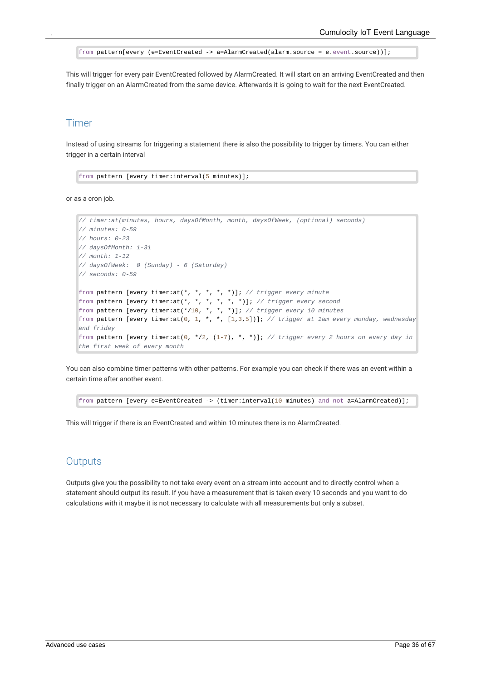```
from pattern[every (e=EventCreated -> a=AlarmCreated(alarm.source = e.event.source))];
```
This will trigger for every pair EventCreated followed by AlarmCreated. It will start on an arriving EventCreated and then finally trigger on an AlarmCreated from the same device. Afterwards it is going to wait for the next EventCreated.

#### <span id="page-35-0"></span>Timer

Instead of using streams for triggering a statement there is also the possibility to trigger by timers. You can either trigger in a certain interval

from pattern [every timer:interval(5 minutes)];

or as a cron job.

```
// timer:at(minutes, hours, daysOfMonth, month, daysOfWeek, (optional) seconds)
// minutes: 0-59
// hours: 0-23
// daysOfMonth: 1-31
// month: 1-12
// daysOfWeek: 0 (Sunday) - 6 (Saturday)
// seconds: 0-59
from pattern [every timer:at(*, *, *, *, *)]; // trigger every minute
from pattern [every timer:at(*, *, *, *, *, *)]; // trigger every second
from pattern [every timer:at(*/10, *, *, *)]; // trigger every 10 minutes
from pattern [every timer:at(0, 1, *, *, [1,3,5])]; // trigger at 1am every monday, wednesday
and friday
from pattern [every timer:at(0, */2, (1-7), *, *)]; // trigger every 2 hours on every day in
the first week of every month
```
You can also combine timer patterns with other patterns. For example you can check if there was an event within a certain time after another event.

from pattern [every e=EventCreated -> (timer:interval(10 minutes) and not a=AlarmCreated)];

This will trigger if there is an EventCreated and within 10 minutes there is no AlarmCreated.

#### <span id="page-35-1"></span>**Outputs**

Outputs give you the possibility to not take every event on a stream into account and to directly control when a statement should output its result. If you have a measurement that is taken every 10 seconds and you want to do calculations with it maybe it is not necessary to calculate with all measurements but only a subset.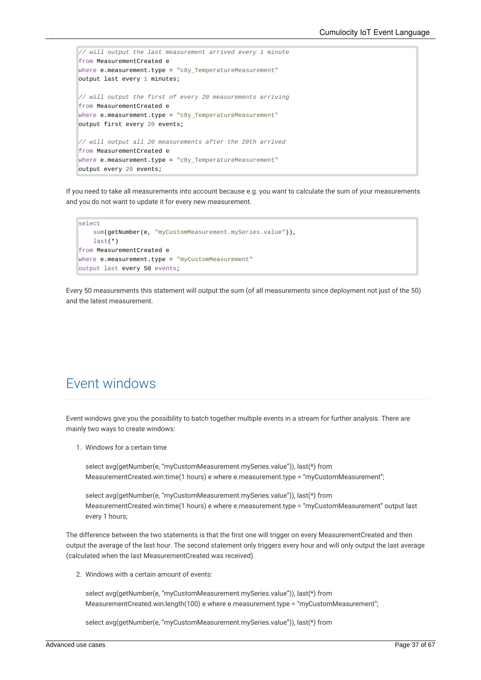```
// will output the last measurement arrived every 1 minute
from MeasurementCreated e
where e.measurement.type = "c8y TemperatureMeasurement"
output last every 1 minutes;
// will output the first of every 20 measurements arriving
from MeasurementCreated e
where e.measurement.type = "c8y_TemperatureMeasurement"
output first every 20 events;
// will output all 20 measurements after the 20th arrived
from MeasurementCreated e
where e.measurement.type = "c8y_TemperatureMeasurement"
output every 20 events;
```
If you need to take allmeasurements into account because e.g. you want to calculate the sum of your measurements and you do not want to update it for every new measurement.

```
select
    sum(getNumber(e, "myCustomMeasurement.mySeries.value")),
   last(*)
from MeasurementCreated e
where e.measurement.type = "myCustomMeasurement"
output last every 50 events;
```
<span id="page-36-0"></span>Every 50 measurements this statement will output the sum (of all measurements since deployment not just of the 50) and the latest measurement.

## Event windows

Event windows give you the possibility to batch together multiple events in a stream for further analysis. There are mainly two ways to create windows:

1. Windows for a certain time

select avg(getNumber(e, "myCustomMeasurement.mySeries.value")), last(\*) from MeasurementCreated.win:time(1 hours) e where e.measurement.type = "myCustomMeasurement";

select avg(getNumber(e, "myCustomMeasurement.mySeries.value")), last(\*) from MeasurementCreated.win:time(1 hours) e where e.measurement.type = "myCustomMeasurement" output last every 1 hours;

The difference between the two statements is that the first one will trigger on every MeasurementCreated and then output the average of the last hour. The second statement only triggers every hour and will only output the last average (calculated when the last MeasurementCreated was received).

2. Windows with a certain amount of events:

select avg(getNumber(e, "myCustomMeasurement.mySeries.value")), last(\*) from MeasurementCreated.win:length(100) e where e.measurement.type = "myCustomMeasurement";

select avg(getNumber(e, "myCustomMeasurement.mySeries.value")), last(\*) from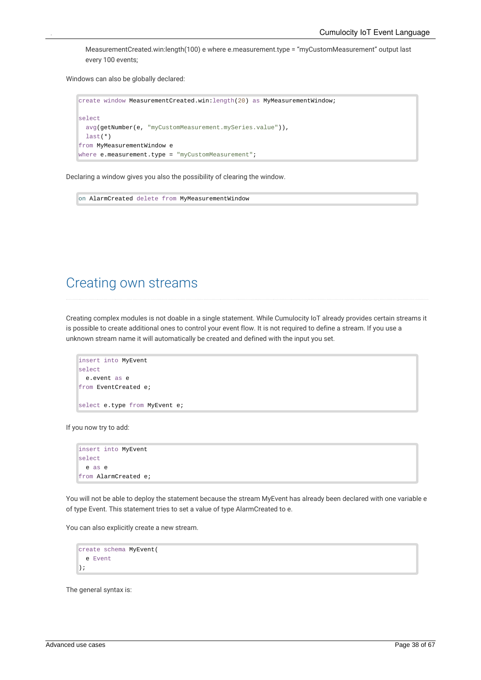MeasurementCreated.win:length(100) e where e.measurement.type = "myCustomMeasurement" output last every 100 events;

Windows can also be globally declared:

```
create window MeasurementCreated.win:length(20) as MyMeasurementWindow;
select
  avg(getNumber(e, "myCustomMeasurement.mySeries.value")),
  last(*)
from MyMeasurementWindow e
where e.measurement.type = "myCustomMeasurement";
```
Declaring a window gives you also the possibility of clearing the window.

<span id="page-37-0"></span>on AlarmCreated delete from MyMeasurementWindow

### Creating own streams

Creating complex modules is not doable in a single statement. While Cumulocity IoT already provides certain streams it is possible to create additional ones to control your event flow. It is not required to define a stream. If you use a unknown stream name it will automatically be created and defined with the input you set.

```
insert into MyEvent
select
  e.event as e
from EventCreated e;
select e.type from MyEvent e;
```
If you now try to add:

```
insert into MyEvent
select
  e as e
from AlarmCreated e;
```
You will not be able to deploy the statement because the stream MyEvent has already been declared with one variable e of type Event. This statement tries to set a value of type AlarmCreated to e.

You can also explicitly create a new stream.

```
create schema MyEvent(
  e Event
);
```
The general syntax is: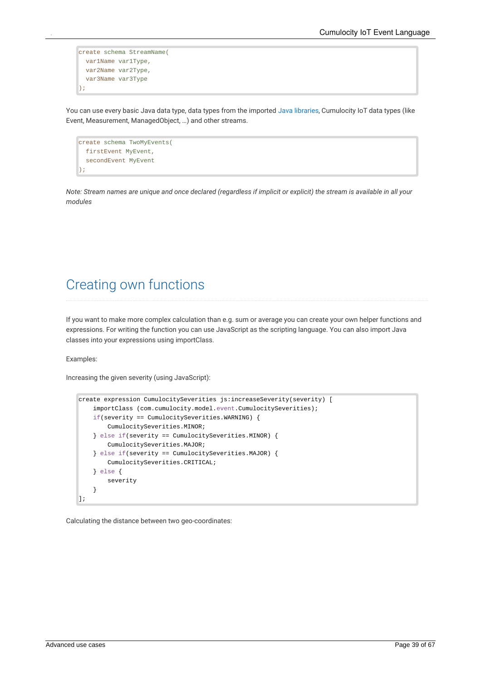```
create schema StreamName(
  var1Name var1Type,
  var2Name var2Type,
  var3Name var3Type
);
```
You can use every basic Java data type, data types from the imported Java [libraries](http://localhost:1313/guides/event-language/functions#java-functions), Cumulocity IoT data types (like Event, Measurement, ManagedObject, …) and other streams.

```
create schema TwoMyEvents(
 firstEvent MyEvent,
  secondEvent MyEvent
);
```
<span id="page-38-0"></span>Note: Stream names are unique and once declared (regardless if implicit or explicit) the stream is available in all your *modules*

## Creating own functions

If you want to make more complex calculation than e.g. sum or average you can create your own helper functions and expressions. For writing the function you can use JavaScript as the scripting language. You can also import Java classes into your expressions using importClass.

Examples:

Increasing the given severity (using JavaScript):

```
create expression CumulocitySeverities js:increaseSeverity(severity) [
    importClass (com.cumulocity.model.event.CumulocitySeverities);
    if(severity == CumulocitySeverities.WARNING) {
        CumulocitySeverities.MINOR;
    } else if(severity == CumulocitySeverities.MINOR) {
        CumulocitySeverities.MAJOR;
    } else if(severity == CumulocitySeverities.MAJOR) {
        CumulocitySeverities.CRITICAL;
    } else {
        severity
    }
];
```
Calculating the distance between two geo-coordinates: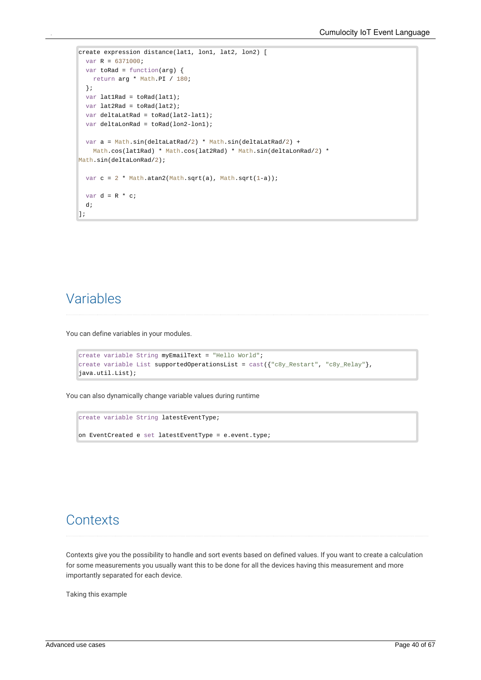```
create expression distance(lat1, lon1, lat2, lon2) [
 var R = 6371000;
 var toRad = function(arg) {
   return arg * Math.PI / 180;
 };
 var lat1Rad = toRad(lat1);
 var lat2Rad = toRad(lat2);
 var deltaLatRad = toRad(lat2-lat1);
 var deltaLonRad = toRad(lon2-lon1);
 var a = Math.sin(deltaLatRad/2) * Math.sin(deltaLatRad/2) +
   Math.cos(lat1Rad) * Math.cos(lat2Rad) * Math.sin(deltaLonRad/2) *
Math.sin(deltaLonRad/2);
 var c = 2 * Math.atan2(Math.sqrt(a), Math.sqrt(1-a));
 var d = R * c;
 d;
];
```
## <span id="page-39-0"></span>Variables

You can define variables in your modules.

```
create variable String myEmailText = "Hello World";
create variable List supportedOperationsList = cast({"c8y\_Restart", "c8y\_Relay";}java.util.List);
```
You can also dynamically change variable values during runtime

```
create variable String latestEventType;
on EventCreated e set latestEventType = e.event.type;
```
### **Contexts**

Contexts give you the possibility to handle and sort events based on defined values. If you want to create a calculation for some measurements you usually want this to be done for all the devices having this measurement and more importantly separated for each device.

Taking this example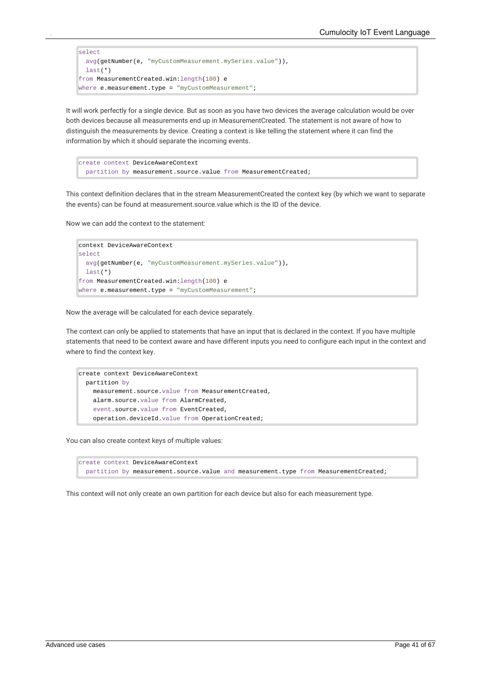```
select
 avg(getNumber(e, "myCustomMeasurement.mySeries.value")),
 last(*)
from MeasurementCreated.win:length(100) e
where e.measurement.type = "myCustomMeasurement";
```
It will work perfectly for a single device. But as soon as you have two devices the average calculation would be over both devices because all measurements end up in MeasurementCreated. The statement is not aware of how to distinguish the measurements by device. Creating a context is like telling the statement where it can find the information by which it should separate the incoming events.

```
create context DeviceAwareContext
  partition by measurement.source.value from MeasurementCreated;
```
This context definition declares that in the stream MeasurementCreated the context key (by which we want to separate the events) can be found at measurement.source.value which is the ID of the device.

Now we can add the context to the statement:

```
context DeviceAwareContext
select
 avg(getNumber(e, "myCustomMeasurement.mySeries.value")),
  last(*)
from MeasurementCreated.win:length(100) e
where e.measurement.type = "myCustomMeasurement";
```
Now the average will be calculated for each device separately.

The context can only be applied to statements that have an input that is declared in the context. If you have multiple statements that need to be context aware and have different inputs you need to configure each input in the context and where to find the context key.

```
create context DeviceAwareContext
  partition by
    measurement.source.value from MeasurementCreated,
    alarm.source.value from AlarmCreated,
    event.source.value from EventCreated,
    operation.deviceId.value from OperationCreated;
```
You can also create context keys of multiple values:

```
create context DeviceAwareContext
  partition by measurement.source.value and measurement.type from MeasurementCreated;
```
This context will not only create an own partition for each device but also for each measurement type.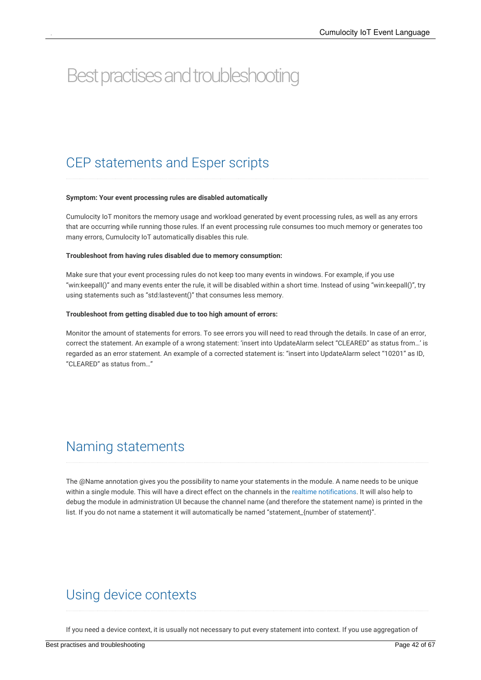# <span id="page-41-0"></span>Best practises and troubleshooting

## <span id="page-41-1"></span>CEP statements and Esper scripts

#### **Symptom: Your event processing rules are disabled automatically**

Cumulocity IoT monitors the memory usage and workload generated by event processing rules, as well as any errors that are occurring while running those rules. If an event processing rule consumes too much memory or generates too many errors, Cumulocity IoT automatically disables this rule.

#### **Troubleshoot from having rules disabled due to memory consumption:**

Make sure that your event processing rules do not keep too many events in windows. For example, if you use "win:keepall()" and many events enter the rule, it will be disabled within a short time. Instead of using "win:keepall()", try using statements such as "std:lastevent()" that consumes less memory.

#### **Troubleshoot from getting disabled due to too high amount of errors:**

<span id="page-41-2"></span>Monitor the amount of statements for errors. To see errors you will need to read through the details. In case of an error, correct the statement. An example of a wrong statement: 'insert into UpdateAlarm select "CLEARED" as status from…' is regarded as an error statement. An example of a corrected statement is: "insert into UpdateAlarm select "10201" as ID, "CLEARED" as status from…"

### Naming statements

<span id="page-41-3"></span>The @Name annotation gives you the possibility to name your statements in the module. A name needs to be unique within a single module. This will have a direct effect on the channels in the realtime [notifications.](#page-66-1) It will also help to debug the module in administration UI because the channel name (and therefore the statement name) is printed in the list. If you do not name a statement it will automatically be named "statement\_{number of statement}".

### Using device contexts

If you need a device context, it is usually not necessary to put every statement into context. If you use aggregation of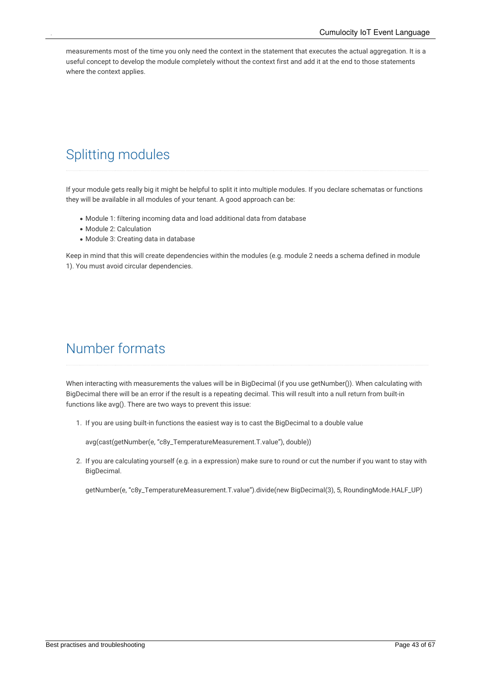<span id="page-42-0"></span>measurements most of the time you only need the context in the statement that executes the actual aggregation. It is a useful concept to develop the module completely without the context first and add it at the end to those statements where the context applies.

## Splitting modules

If your module gets really big it might be helpful to split it into multiple modules. If you declare schematas or functions they will be available in all modules of your tenant. A good approach can be:

- Module 1: filtering incoming data and load additional data from database
- Module 2: Calculation
- Module 3: Creating data in database

<span id="page-42-1"></span>Keep in mind that this will create dependencies within the modules (e.g. module 2 needs a schema defined in module 1). You must avoid circular dependencies.

## Number formats

When interacting with measurements the values will be in BigDecimal (if you use getNumber()). When calculating with BigDecimal there will be an error if the result is a repeating decimal. This will result into a null return from built-in functions like avg(). There are two ways to prevent this issue:

1. If you are using built-in functions the easiest way is to cast the BigDecimal to a double value

avg(cast(getNumber(e, "c8y\_TemperatureMeasurement.T.value"), double))

2. If you are calculating yourself (e.g. in a expression) make sure to round or cut the number if you want to stay with BigDecimal.

getNumber(e, "c8y\_TemperatureMeasurement.T.value").divide(new BigDecimal(3), 5, RoundingMode.HALF\_UP)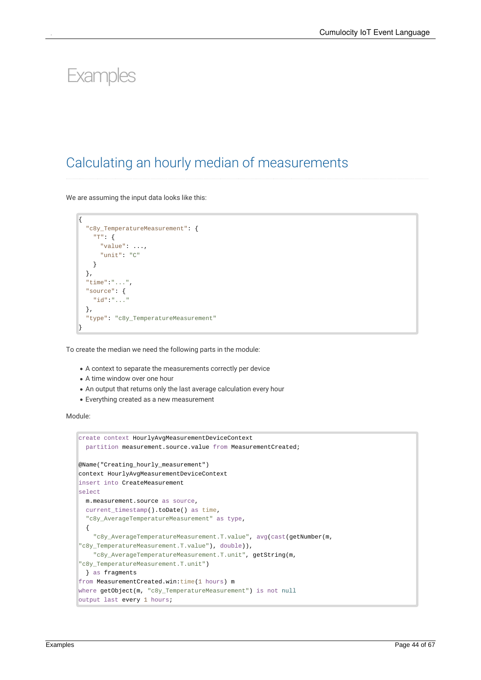# <span id="page-43-0"></span>*<u>Examples</u>*

## <span id="page-43-1"></span>Calculating an hourly median of measurements

We are assuming the input data looks like this:

```
{
  "c8y_TemperatureMeasurement": {
    "T": {
      "value": ...,
      "unit": "C"
    }
  },
  "time":"...",
  "source": {
    "id":"..."
  },
  "type": "c8y_TemperatureMeasurement"
}
```
To create the median we need the following parts in the module:

- A context to separate the measurements correctly per device
- A time window over one hour
- An output that returns only the last average calculation every hour
- Everything created as a new measurement

#### Module:

```
create context HourlyAvgMeasurementDeviceContext
  partition measurement.source.value from MeasurementCreated;
@Name("Creating_hourly_measurement")
context HourlyAvgMeasurementDeviceContext
insert into CreateMeasurement
select
 m.measurement.source as source,
  current_timestamp().toDate() as time,
  "c8y_AverageTemperatureMeasurement" as type,
  {
    "c8y_AverageTemperatureMeasurement.T.value", avg(cast(getNumber(m,
"c8y_TemperatureMeasurement.T.value"), double)),
    "c8y_AverageTemperatureMeasurement.T.unit", getString(m,
"c8y_TemperatureMeasurement.T.unit")
 } as fragments
from MeasurementCreated.win:time(1 hours) m
where getObject(m, "c8y_TemperatureMeasurement") is not null
output last every 1 hours;
```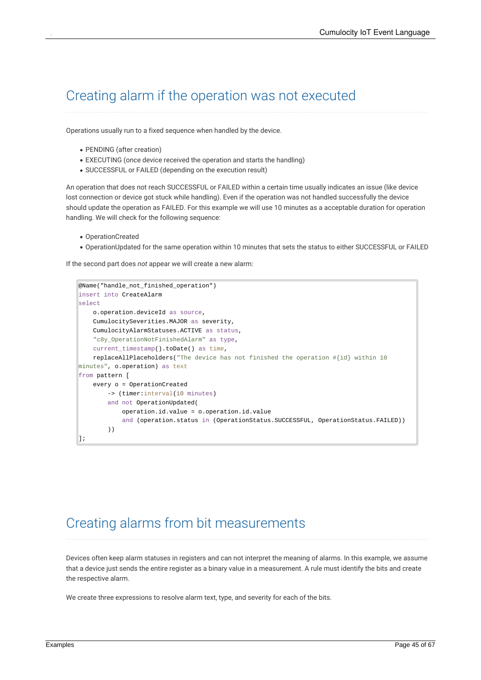## <span id="page-44-0"></span>Creating alarm if the operation was not executed

Operations usually run to a fixed sequence when handled by the device.

- PENDING (after creation)
- EXECUTING (once device received the operation and starts the handling)
- SUCCESSFUL or FAILED (depending on the execution result)

An operation that does not reach SUCCESSFUL or FAILED within a certain time usually indicates an issue (like device lost connection or device got stuck while handling). Even if the operation was not handled successfully the device should update the operation as FAILED. For this example we will use 10 minutes as a acceptable duration for operation handling. We will check for the following sequence:

- OperationCreated
- OperationUpdated for the same operation within 10 minutes that sets the status to either SUCCESSFUL or FAILED

If the second part does *not* appear we will create a new alarm:

```
@Name("handle_not_finished_operation")
insert into CreateAlarm
select
    o.operation.deviceId as source,
    CumulocitySeverities.MAJOR as severity,
    CumulocityAlarmStatuses.ACTIVE as status,
    "c8y_OperationNotFinishedAlarm" as type,
    current_timestamp().toDate() as time,
    replaceAllPlaceholders("The device has not finished the operation #{id} within 10
minutes", o.operation) as text
from pattern [
    every o = OperationCreated
        -> (timer:interval(10 minutes)
        and not OperationUpdated(
            operation.id.value = o.operation.id.value
            and (operation.status in (OperationStatus.SUCCESSFUL, OperationStatus.FAILED))
        ))
];
```
## <span id="page-44-1"></span>Creating alarms from bit measurements

Devices often keep alarm statuses in registers and can not interpret the meaning of alarms. In this example, we assume that a device just sends the entire register as a binary value in a measurement. A rule must identify the bits and create the respective alarm.

We create three expressions to resolve alarm text, type, and severity for each of the bits.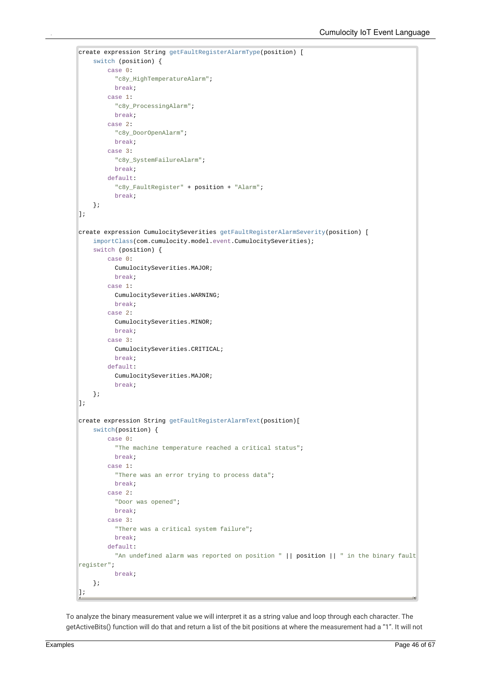```
create expression String getFaultRegisterAlarmType(position) [
    switch (position) {
        case 0:
          "c8y_HighTemperatureAlarm";
          break;
        case 1:
          "c8y_ProcessingAlarm";
          break;
        case 2:
          "c8y_DoorOpenAlarm";
          break;
        case 3:
          "c8y_SystemFailureAlarm";
          break;
        default:
          "c8y_FaultRegister" + position + "Alarm";
          break;
    };
\vert \vert \vert \vertcreate expression CumulocitySeverities getFaultRegisterAlarmSeverity(position) [
    importClass(com.cumulocity.model.event.CumulocitySeverities);
    switch (position) {
        case 0:
          CumulocitySeverities.MAJOR;
          break;
        case 1:
          CumulocitySeverities.WARNING;
          break;
        case 2:
          CumulocitySeverities.MINOR;
          break;
        case 3:
          CumulocitySeverities.CRITICAL;
          break;
        default:
          CumulocitySeverities.MAJOR;
          break;
    };
];
create expression String getFaultRegisterAlarmText(position)[
    switch(position) {
        case 0:
          "The machine temperature reached a critical status";
          break;
        case 1:
          "There was an error trying to process data";
          break;
        case 2:
          "Door was opened";
          break;
        case 3:
          "There was a critical system failure";
          break;
        default:
          "An undefined alarm was reported on position " || position || " in the binary fault
register";
          break;
    };
];
```
To analyze the binary measurement value we will interpret it as a string value and loop through each character. The getActiveBits() function will do that and return a list of the bit positions at where the measurement had a "1". It will not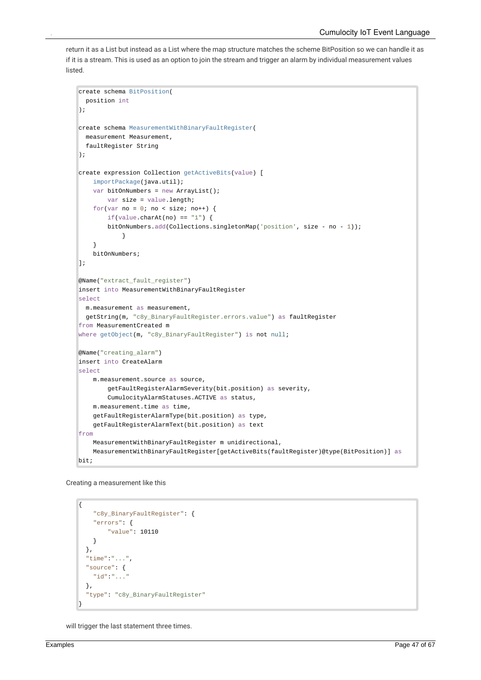return it as a List but instead as a List where the map structure matches the scheme BitPosition so we can handle it as if it is a stream. This is used as an option to join the stream and trigger an alarm by individual measurement values listed.

```
create schema BitPosition(
  position int
);
create schema MeasurementWithBinaryFaultRegister(
  measurement Measurement,
  faultRegister String
);
create expression Collection getActiveBits(value) [
    importPackage(java.util);
    var bitOnNumbers = new ArrayList();
        var size = value.length;
    for(var no = \theta; no < size; no++) {
        if(value.charAt(no) == "1") {
        bitOnNumbers.add(Collections.singletonMap('position', size - no - 1));
            }
    }
    bitOnNumbers;
\vert \vert \vert \vert@Name("extract_fault_register")
insert into MeasurementWithBinaryFaultRegister
select
  m.measurement as measurement,
  getString(m, "c8y_BinaryFaultRegister.errors.value") as faultRegister
from MeasurementCreated m
where getObject(m, "c8y_BinaryFaultRegister") is not null;
@Name("creating_alarm")
insert into CreateAlarm
select
    m.measurement.source as source,
        getFaultRegisterAlarmSeverity(bit.position) as severity,
        CumulocityAlarmStatuses.ACTIVE as status,
    m.measurement.time as time,
    getFaultRegisterAlarmType(bit.position) as type,
    getFaultRegisterAlarmText(bit.position) as text
from
    MeasurementWithBinaryFaultRegister m unidirectional,
    MeasurementWithBinaryFaultRegister[getActiveBits(faultRegister)@type(BitPosition)] as
bit;
```
Creating a measurement like this

```
{
    "c8y_BinaryFaultRegister": {
    "errors": {
        "value": 10110
    }
 },
  "time":"...",
  "source": {
    "id":"..."
 },
  "type": "c8y_BinaryFaultRegister"
}
```
will trigger the last statement three times.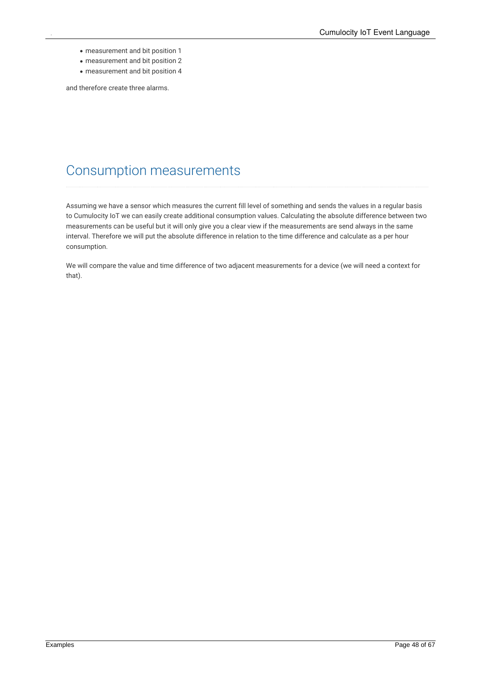- measurement and bit position 1
- measurement and bit position 2
- measurement and bit position 4

<span id="page-47-0"></span>and therefore create three alarms.

## Consumption measurements

Assuming we have a sensor which measures the current fill level of something and sends the values in a regular basis to Cumulocity IoT we can easily create additional consumption values. Calculating the absolute difference between two measurements can be useful but it will only give you a clear view if the measurements are send always in the same interval. Therefore we will put the absolute difference in relation to the time difference and calculate as a per hour consumption.

We will compare the value and time difference of two adjacent measurements for a device (we will need a context for that).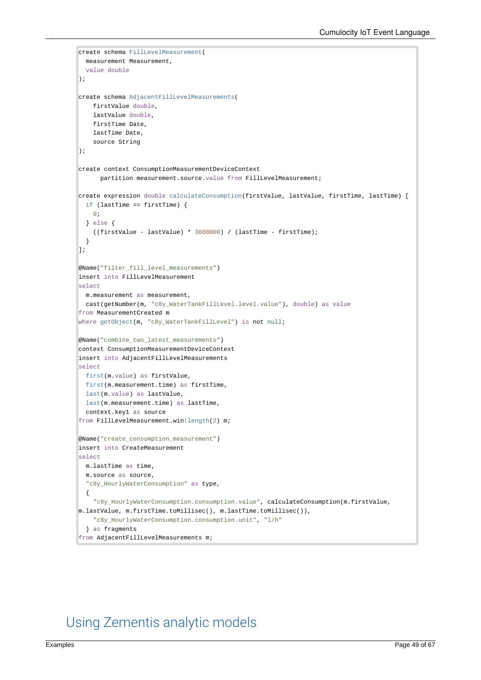```
create schema FillLevelMeasurement(
  measurement Measurement,
  value double
);
create schema AdjacentFillLevelMeasurements(
    firstValue double,
    lastValue double,
   firstTime Date,
    lastTime Date,
    source String
);
create context ConsumptionMeasurementDeviceContext
      partition measurement.source.value from FillLevelMeasurement;
create expression double calculateConsumption(firstValue, lastValue, firstTime, lastTime) [
  if (lastTime == firstTime) {
    0;
  } else {
    ((firstValue - lastValue) * 3600000) / (lastTime - firstTime);
  }
];
@Name("filter_fill_level_measurements")
insert into FillLevelMeasurement
select
 m.measurement as measurement,
  cast(getNumber(m, "c8y_WaterTankFillLevel.level.value"), double) as value
from MeasurementCreated m
where getObject(m, "c8y_WaterTankFillLevel") is not null;
@Name("combine_two_latest_measurements")
context ConsumptionMeasurementDeviceContext
insert into AdjacentFillLevelMeasurements
select
 first(m.value) as firstValue,
  first(m.measurement.time) as firstTime,
  last(m.value) as lastValue,
  last(m.measurement.time) as lastTime,
  context.key1 as source
from FillLevelMeasurement.win:length(2) m;
@Name("create_consumption_measurement")
insert into CreateMeasurement
select
  m.lastTime as time,
  m.source as source,
  "c8y_HourlyWaterConsumption" as type,
  {
    "c8y_HourlyWaterConsumption.consumption.value", calculateConsumption(m.firstValue,
m.lastValue, m.firstTime.toMillisec(), m.lastTime.toMillisec()),
    "c8y_HourlyWaterConsumption.consumption.unit", "l/h"
  } as fragments
from AdjacentFillLevelMeasurements m;
```
## <span id="page-48-0"></span>Using Zementis analytic models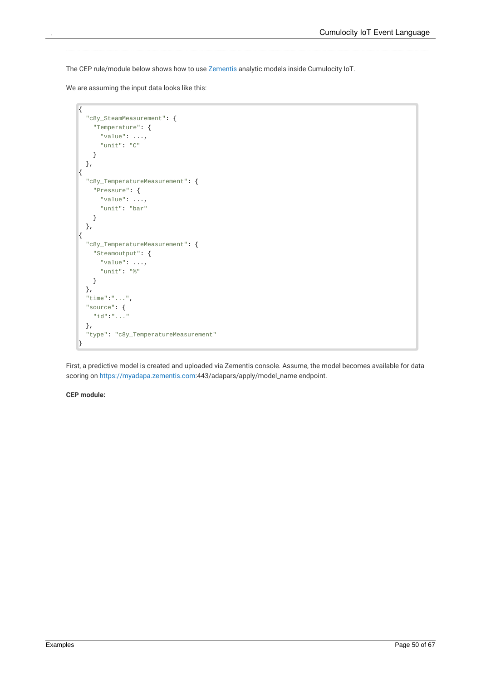The CEP rule/module below shows how to use [Zementis](http://www2.softwareag.com/corporate/products/apama_webmethods/zementis/default.aspx?) analytic models inside Cumulocity IoT.

We are assuming the input data looks like this:

```
{
  "c8y_SteamMeasurement": {
    "Temperature": {
      "value": ...,
      "unit": "C"
    }
  },
{
  "c8y_TemperatureMeasurement": {
    "Pressure": {
      "value": ...,
      "unit": "bar"
    }
  },
{
  "c8y_TemperatureMeasurement": {
    "Steamoutput": {
      "value": ...,
      "unit": "%"
    }
  },
  "time":"...",
  "source": {
    "id":"..."
  },
  "type": "c8y_TemperatureMeasurement"
}
```
First, a predictive model is created and uploaded via Zementis console. Assume, the model becomes available for data scoring on <https://myadapa.zementis.com>:443/adapars/apply/model\_name endpoint.

**CEP module:**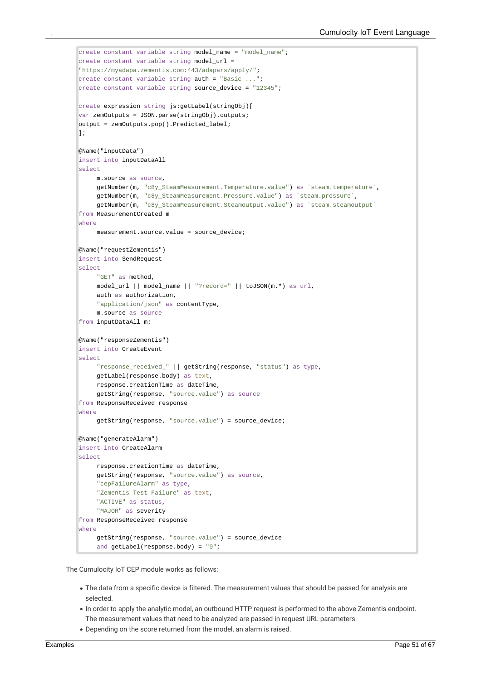```
create constant variable string model name = "model name";
create constant variable string model_url =
"https://myadapa.zementis.com:443/adapars/apply/";
create constant variable string auth = "Basic ...";
create constant variable string source_device = "12345";
create expression string js:getLabel(stringObj)[
var zemOutputs = JSON.parse(stringObj).outputs;
output = zemOutputs.pop().Predicted_label;
];
@Name("inputData")
insert into inputDataAll
select
     m.source as source,
     getNumber(m, "c8y_SteamMeasurement.Temperature.value") as `steam.temperature`,
     getNumber(m, "c8y_SteamMeasurement.Pressure.value") as `steam.pressure`,
     getNumber(m, "c8y_SteamMeasurement.Steamoutput.value") as `steam.steamoutput`
from MeasurementCreated m
where
     measurement.source.value = source_device;
@Name("requestZementis")
insert into SendRequest
select
     "GET" as method,
     model_url || model_name || "?record=" || toJSON(m.*) as url,
     auth as authorization,
     "application/json" as contentType,
     m.source as source
from inputDataAll m;
@Name("responseZementis")
insert into CreateEvent
select
     "response_received_" || getString(response, "status") as type,
     getLabel(response.body) as text,
     response.creationTime as dateTime,
     getString(response, "source.value") as source
from ResponseReceived response
where
     getString(response, "source.value") = source_device;
@Name("generateAlarm")
insert into CreateAlarm
select
     response.creationTime as dateTime,
     getString(response, "source.value") as source,
     "cepFailureAlarm" as type,
     "Zementis Test Failure" as text,
     "ACTIVE" as status,
     "MAJOR" as severity
from ResponseReceived response
where
     getString(response, "source.value") = source_device
     and getLabel(response.body) = "0";
```
The Cumulocity IoT CEP module works as follows:

- The data from a specific device is filtered. The measurement values that should be passed for analysis are selected.
- In order to apply the analytic model, an outbound HTTP request is performed to the above Zementis endpoint. The measurement values that need to be analyzed are passed in request URL parameters.
- Depending on the score returned from the model, an alarm is raised.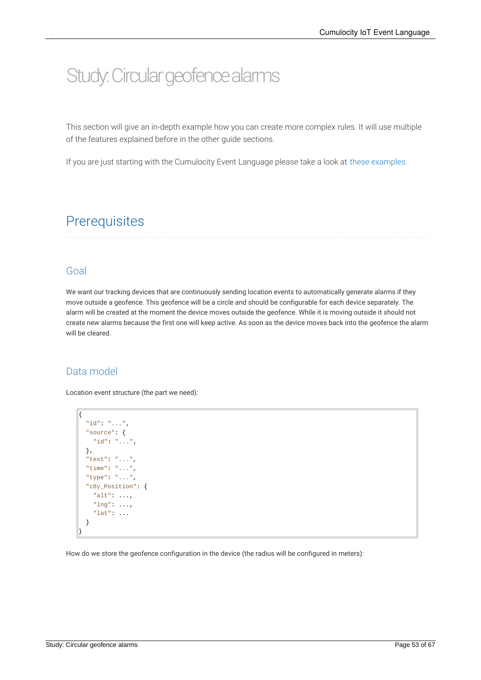# <span id="page-52-0"></span>Study: Circular geofence alarms

This section will give an in-depth example how you can create more complex rules. It will use multiple of the features explained before in the other guide sections.

<span id="page-52-1"></span>If you are just starting with the Cumulocity Event Language please take a look at these [examples](http://localhost:1313/guides/event-language/examples).

## **Prerequisites**

#### <span id="page-52-2"></span>Goal

We want our tracking devices that are continuously sending location events to automatically generate alarms if they move outside a geofence. This geofence will be a circle and should be configurable for each device separately. The alarm will be created at the moment the device moves outside the geofence. While it is moving outside it should not create new alarms because the first one will keep active. As soon as the device moves back into the geofence the alarm will be cleared.

### <span id="page-52-3"></span>Data model

Location event structure (the part we need):

```
{
  "id": "...",
  "source": {
    "id": "...",
  },
  "text": "...",
  "time": "...",
  "type": "...",
  "c8y_Position": {
    "alt": ...,
    "lng": ...,
    "lat": ...
  }
}
```
How do we store the geofence configuration in the device (the radius will be configured in meters):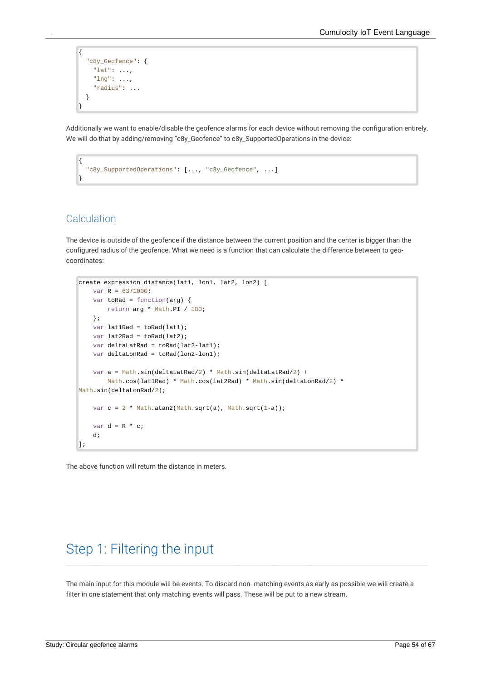```
{
  "c8y_Geofence": {
    "lat": ...,
    "lng": ...,
    "radius": ...
  }
}
```
Additionally we want to enable/disable the geofence alarms for each device without removing the configuration entirely. We will do that by adding/removing "c8y\_Geofence" to c8y\_SupportedOperations in the device:

```
{
  "c8y_SupportedOperations": [..., "c8y_Geofence", ...]
}
```
### <span id="page-53-0"></span>**Calculation**

The device is outside of the geofence if the distance between the current position and the center is bigger than the configured radius of the geofence. What we need is a function that can calculate the difference between to geo coordinates:

```
create expression distance(lat1, lon1, lat2, lon2) [
   var R = 6371000;
   var toRad = function(arg) {
       return arg * Math.PI / 180;
   };
    var lat1Rad = toRad(lat1);
   var lat2Rad = toRad(lat2);
   var deltaLatRad = toRad(lat2-lat1);
    var deltaLonRad = toRad(lon2-lon1);
    var a = Math.sin(deltalatRad/2) * Math.sin(deltalatRad/2) +Math.cos(lat1Rad) * Math.cos(lat2Rad) * Math.sin(deltaLonRad/2) *
Math.sin(deltaLonRad/2);
    var c = 2 * Math.atan2(Math.sqrt(a), Math.sqrt(1-a));
    var d = R * c;
    d;
];
```
<span id="page-53-1"></span>The above function will return the distance in meters.

## Step 1: Filtering the input

The main input for this module will be events. To discard non- matching events as early as possible we will create a filter in one statement that only matching events will pass. These will be put to a new stream.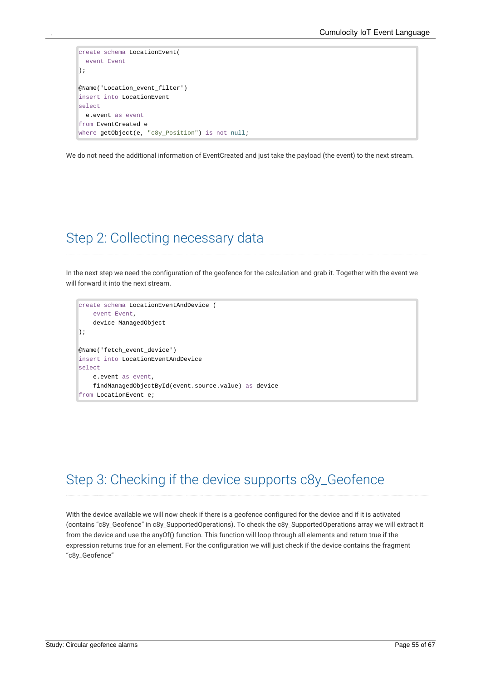```
create schema LocationEvent(
 event Event
);
@Name('Location_event_filter')
insert into LocationEvent
select
 e.event as event
from EventCreated e
where getObject(e, "c8y_Position") is not null;
```
<span id="page-54-0"></span>We do not need the additional information of EventCreated and just take the payload (the event) to the next stream.

## Step 2: Collecting necessary data

In the next step we need the configuration of the geofence for the calculation and grab it. Together with the event we will forward it into the next stream.

```
create schema LocationEventAndDevice (
   event Event,
    device ManagedObject
);
@Name('fetch_event_device')
insert into LocationEventAndDevice
select
    e.event as event,
    findManagedObjectById(event.source.value) as device
from LocationEvent e;
```
## <span id="page-54-1"></span>Step 3: Checking if the device supports c8y\_Geofence

With the device available we will now check if there is a geofence configured for the device and if it is activated (contains "c8y\_Geofence" in c8y\_SupportedOperations). To check the c8y\_SupportedOperations array we will extract it from the device and use the anyOf() function. This function will loop through allelements and return true if the expression returns true for an element. For the configuration we will just check if the device contains the fragment "c8y\_Geofence"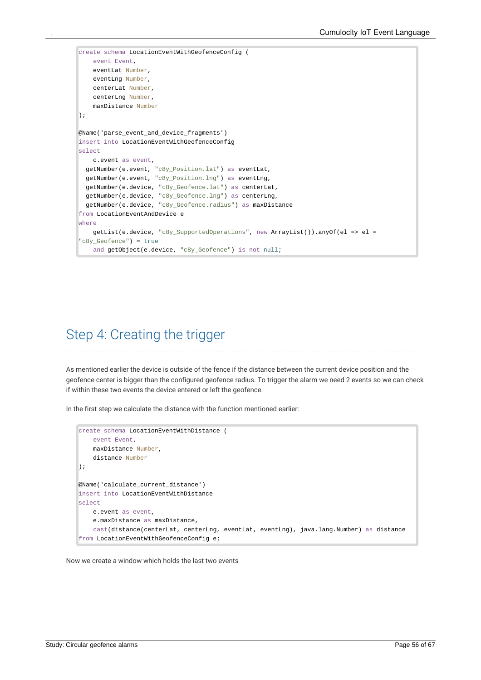```
create schema LocationEventWithGeofenceConfig (
   event Event,
   eventLat Number,
   eventLng Number,
   centerLat Number,
   centerLng Number,
    maxDistance Number
\vert);
@Name('parse_event_and_device_fragments')
insert into LocationEventWithGeofenceConfig
select
   c.event as event,
  getNumber(e.event, "c8y_Position.lat") as eventLat,
 getNumber(e.event, "c8y_Position.lng") as eventLng,
 getNumber(e.device, "c8y_Geofence.lat") as centerLat,
 getNumber(e.device, "c8y_Geofence.lng") as centerLng,
  getNumber(e.device, "c8y_Geofence.radius") as maxDistance
from LocationEventAndDevice e
where
   getList(e.device, "c8y_SupportedOperations", new ArrayList()).anyOf(el => el =
"c8y_Geofence") = true
    and getObject(e.device, "c8y_Geofence") is not null;
```
### <span id="page-55-0"></span>Step 4: Creating the trigger

As mentioned earlier the device is outside of the fence if the distance between the current device position and the geofence center is bigger than the configured geofence radius. To trigger the alarm weneed 2 events so we can check if within these two events the device entered or left the geofence.

In the first step we calculate the distance with the function mentioned earlier:

```
create schema LocationEventWithDistance (
    event Event,
   maxDistance Number,
    distance Number
);
@Name('calculate_current_distance')
insert into LocationEventWithDistance
select
    e.event as event,
    e.maxDistance as maxDistance,
    cast(distance(centerLat, centerLng, eventLat, eventLng), java.lang.Number) as distance
from LocationEventWithGeofenceConfig e;
```
Now we create a window which holds the last two events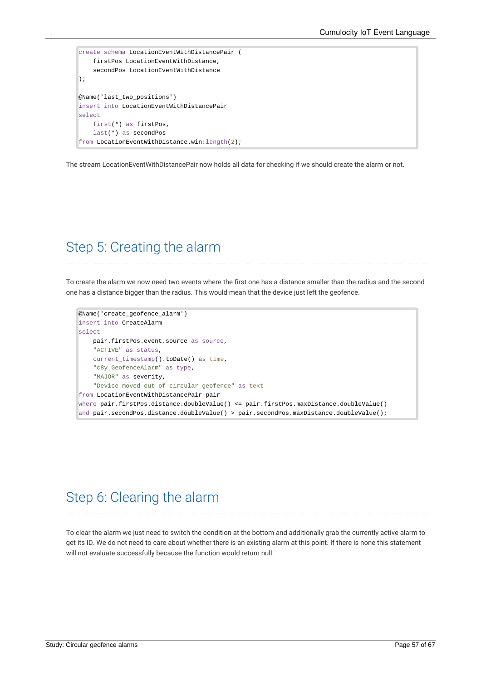```
create schema LocationEventWithDistancePair (
    firstPos LocationEventWithDistance,
    secondPos LocationEventWithDistance
);
@Name('last_two_positions')
insert into LocationEventWithDistancePair
select
    first(*) as firstPos,
    last(*) as secondPos
from LocationEventWithDistance.win:length(2);
```
<span id="page-56-0"></span>The stream LocationEventWithDistancePair now holds all data for checking if we should create the alarm or not.

## Step 5: Creating the alarm

To create the alarm wenow need two events where the first one has a distance smaller than the radius and the second one has a distance bigger than the radius. This would mean that the device just left the geofence.

```
@Name('create_geofence_alarm')
insert into CreateAlarm
select
    pair.firstPos.event.source as source,
    "ACTIVE" as status,
   current_timestamp().toDate() as time,
    "c8y GeofenceAlarm" as type,
    "MAJOR" as severity,
    "Device moved out of circular geofence" as text
from LocationEventWithDistancePair pair
where pair.firstPos.distance.doubleValue() <= pair.firstPos.maxDistance.doubleValue()
and pair.secondPos.distance.doubleValue() > pair.secondPos.maxDistance.doubleValue();
```
## <span id="page-56-1"></span>Step 6: Clearing the alarm

To clear the alarm wejust need to switch the condition at the bottom and additionally grab the currently active alarm to get its ID. We do not need to care about whether there is an existing alarm at this point. If there is none this statement will not evaluate successfully because the function would return null.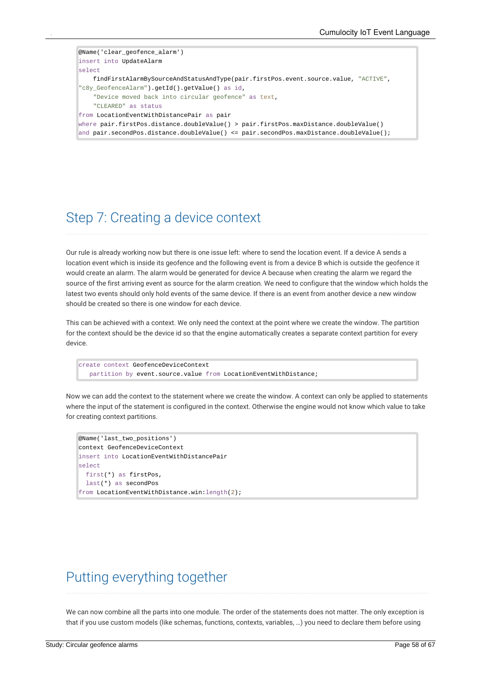```
@Name('clear_geofence_alarm')
insert into UpdateAlarm
select
    findFirstAlarmBySourceAndStatusAndType(pair.firstPos.event.source.value, "ACTIVE",
"c8y_GeofenceAlarm").getId().getValue() as id,
    "Device moved back into circular geofence" as text,
    "CLEARED" as status
from LocationEventWithDistancePair as pair
where pair.firstPos.distance.doubleValue() > pair.firstPos.maxDistance.doubleValue()
and pair.secondPos.distance.doubleValue() <= pair.secondPos.maxDistance.doubleValue();
```
### <span id="page-57-0"></span>Step 7: Creating a device context

Our rule is already working now butthere is one issue left: where to send the location event. If a device A sends a location event which is inside its geofence and the following event is from a device B which is outside the geofence it would create an alarm. The alarm would be generated for device A because when creating the alarm we regard the source of the first arriving event as source for the alarm creation. We need to configure that the window which holds the latest two events should only hold events of the same device. If there is an event from another device a new window should be created so there is one window for each device.

This can be achieved with a context. We only need the context at the point where we create the window. The partition for the context should be the device id so that the engine automatically creates a separate context partition for every device.

create context GeofenceDeviceContext partition by event.source.value from LocationEventWithDistance;

Now we can add the context to the statement where we create the window. A context can only be applied to statements where the input of the statement is configured in the context. Otherwise the engine would not know which value to take for creating context partitions.

```
@Name('last_two_positions')
context GeofenceDeviceContext
insert into LocationEventWithDistancePair
select
  first(*) as firstPos,
  last(*) as secondPos
from LocationEventWithDistance.win:length(2);
```
## <span id="page-57-1"></span>Putting everything together

We can now combine all the parts into one module. The order of the statements does not matter. The only exception is that if you use custom models (like schemas, functions, contexts, variables, …) you need to declare them before using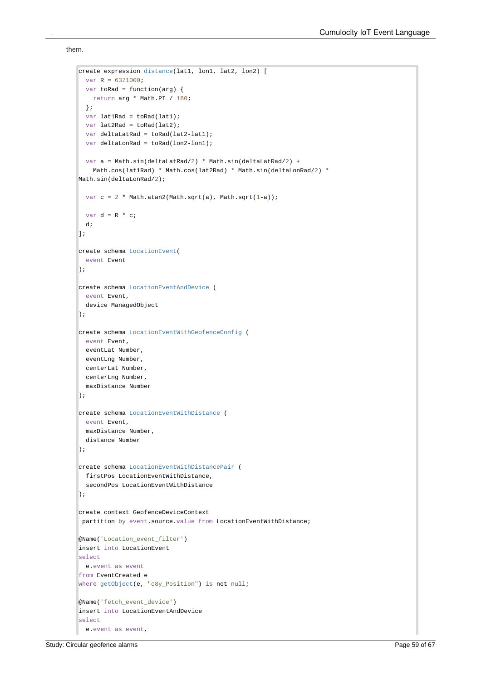them.

```
create expression distance(lat1, lon1, lat2, lon2) [
  var R = 6371000;
  var toRad = function(arg) {
   return arg * Math.PI / 180;
  };
  var lat1Rad = toRad(lat1);
  var lat2Rad = toRad(lat2):
  var deltaLatRad = toRad(lat2-lat1);
  var deltaLonRad = toRad(lon2-lon1);
  var a = Math.sin(deltaLatRad/2) * Math.sin(deltaLatRad/2) +
   Math.cos(lat1Rad) * Math.cos(lat2Rad) * Math.sin(deltaLonRad/2) *
Math.sin(deltaLonRad/2);
  var c = 2 * Math.atan2(Math.sqrt(a), Math.sqrt(1-a));
  var d = R * c;
  d;
\exists;
create schema LocationEvent(
 event Event
);
create schema LocationEventAndDevice (
 event Event,
  device ManagedObject
);
create schema LocationEventWithGeofenceConfig (
 event Event,
 eventLat Number,
 eventLng Number,
 centerLat Number,
 centerLng Number,
 maxDistance Number
);
create schema LocationEventWithDistance (
 event Event,
  maxDistance Number,
  distance Number
);
create schema LocationEventWithDistancePair (
 firstPos LocationEventWithDistance,
  secondPos LocationEventWithDistance
\mathbf{)}:
create context GeofenceDeviceContext
partition by event.source.value from LocationEventWithDistance;
@Name('Location_event_filter')
insert into LocationEvent
select
  e.event as event
from EventCreated e
where getObject(e, "c8y_Position") is not null;
@Name('fetch_event_device')
insert into LocationEventAndDevice
select
  e.event as event,
```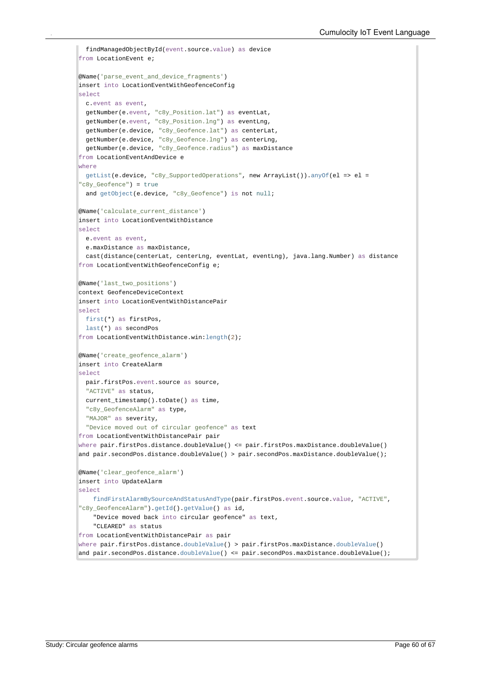```
findManagedObjectById(event.source.value) as device
from LocationEvent e;
@Name('parse_event_and_device_fragments')
insert into LocationEventWithGeofenceConfig
select
  c.event as event,
  getNumber(e.event, "c8y_Position.lat") as eventLat,
  getNumber(e.event, "c8y_Position.lng") as eventLng,
  getNumber(e.device, "c8y_Geofence.lat") as centerLat,
  getNumber(e.device, "c8y_Geofence.lng") as centerLng,
  getNumber(e.device, "c8y_Geofence.radius") as maxDistance
from LocationEventAndDevice e
where
  getList(e.device, "c8y_SupportedOperations", new ArrayList()).anyOf(el => el =
"c8y_Geofence") = true
  and getObject(e.device, "c8y_Geofence") is not null;
@Name('calculate_current_distance')
insert into LocationEventWithDistance
select
 e.event as event,
  e.maxDistance as maxDistance,
 cast(distance(centerLat, centerLng, eventLat, eventLng), java.lang.Number) as distance
from LocationEventWithGeofenceConfig e;
@Name('last_two_positions')
context GeofenceDeviceContext
insert into LocationEventWithDistancePair
select
 first(*) as firstPos,
 last(*) as secondPos
from LocationEventWithDistance.win:length(2);
@Name('create_geofence_alarm')
insert into CreateAlarm
select
  pair.firstPos.event.source as source,
  "ACTIVE" as status,
  current_timestamp().toDate() as time,
  "c8y_GeofenceAlarm" as type,
  "MAJOR" as severity,
  "Device moved out of circular geofence" as text
from LocationEventWithDistancePair pair
where pair.firstPos.distance.doubleValue() <= pair.firstPos.maxDistance.doubleValue()
and pair.secondPos.distance.doubleValue() > pair.secondPos.maxDistance.doubleValue();
@Name('clear_geofence_alarm')
insert into UpdateAlarm
select
    findFirstAlarmBySourceAndStatusAndType(pair.firstPos.event.source.value, "ACTIVE",
\vert"c8y_GeofenceAlarm").getId().getValue() as id,
    "Device moved back into circular geofence" as text,
    "CLEARED" as status
from LocationEventWithDistancePair as pair
where pair.firstPos.distance.doubleValue() > pair.firstPos.maxDistance.doubleValue()
and pair.secondPos.distance.doubleValue() <= pair.secondPos.maxDistance.doubleValue();
```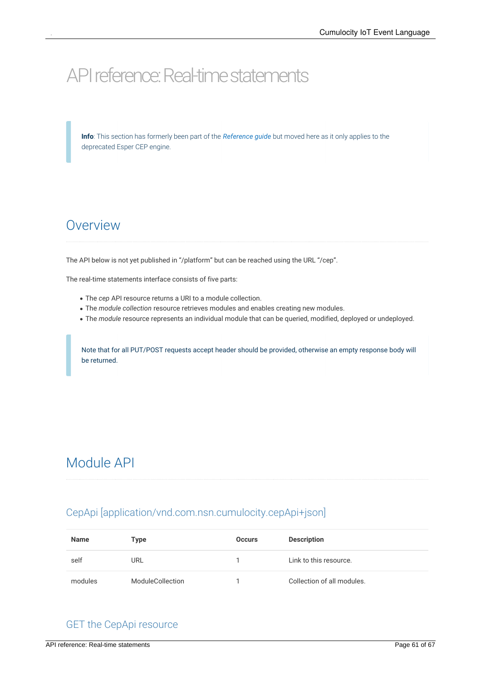# <span id="page-60-0"></span>API reference: Real-time statements

**Info**: This section has formerly been part of the *[Reference](http://localhost:1313/guides/reference/) guide* but moved here as itonly applies to the deprecated Esper CEP engine.

## <span id="page-60-1"></span>Overview

The API below is not yet published in "/platform" but can be reached using the URL "/cep".

The real-time statements interface consists of five parts:

- The *cep* API resource returns a URI to a module collection.
- The *module collection* resource retrieves modules and enables creating new modules.
- The *module* resource represents an individual module that can be queried, modified, deployed or undeployed.

<span id="page-60-2"></span>Note that for all PUT/POST requests accept header should be provided, otherwise an empty response body will be returned.

## Module API

### <span id="page-60-3"></span>CepApi [application/vnd.com.nsn.cumulocity.cepApi+json]

| <b>Name</b> | Type             | <b>Occurs</b> | <b>Description</b>         |
|-------------|------------------|---------------|----------------------------|
| self        | URL              |               | Link to this resource.     |
| modules     | ModuleCollection |               | Collection of all modules. |

### <span id="page-60-4"></span>GET the CepApi resource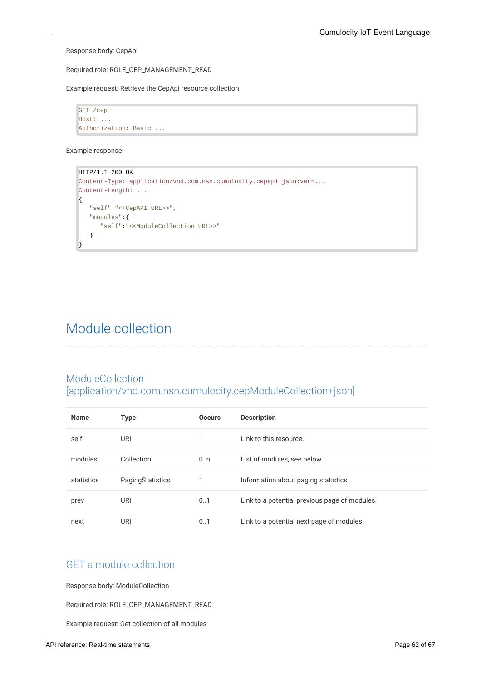Response body: CepApi

Required role: ROLE\_CEP\_MANAGEMENT\_READ

Example request: Retrieve the CepApi resource collection

GET /cep Host: ... Authorization: Basic ...

Example response:

```
HTTP/1.1 200 OK
Content-Type: application/vnd.com.nsn.cumulocity.cepapi+json;ver=...
Content-Length: ...
\left\{ \right."self":"<<CepAPI URL>>",
   "modules":{
      "self":"<<ModuleCollection URL>>"
   }
}
```
## <span id="page-61-0"></span>Module collection

### <span id="page-61-1"></span>ModuleCollection [application/vnd.com.nsn.cumulocity.cepModuleCollection+json]

| <b>Name</b> | <b>Type</b>      | <b>Occurs</b> | <b>Description</b>                            |
|-------------|------------------|---------------|-----------------------------------------------|
| self        | URI              |               | Link to this resource.                        |
| modules     | Collection       | 0.n           | List of modules, see below.                   |
| statistics  | PagingStatistics |               | Information about paging statistics.          |
| prev        | URI              | 01            | Link to a potential previous page of modules. |
| next        | URI              | 0.1           | Link to a potential next page of modules.     |

### <span id="page-61-2"></span>GET a module collection

Response body: ModuleCollection

Required role: ROLE\_CEP\_MANAGEMENT\_READ

Example request: Get collection of all modules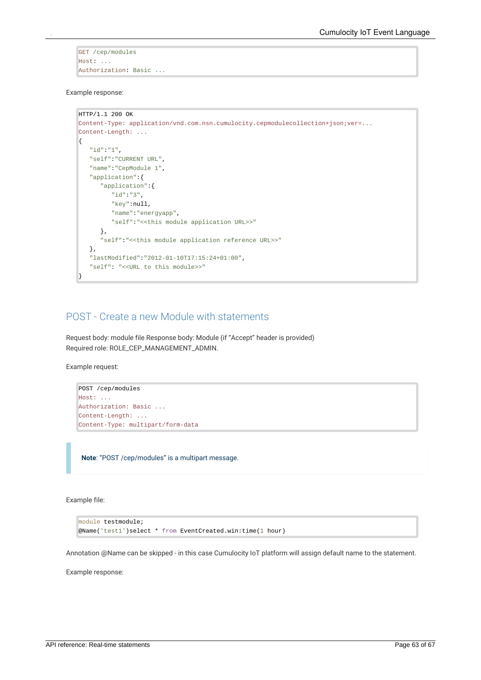GET /cep/modules Host: ... Authorization: Basic ...

Example response:

```
HTTP/1.1 200 OK
Content-Type: application/vnd.com.nsn.cumulocity.cepmodulecollection+json;ver=...
Content-Length: ...
{
   "id":"1",
   "self":"CURRENT URL",
   "name":"CepModule 1",
   "application":{
      "application":{
         "id":"3",
         "key":null,
         "name":"energyapp",
         "self":"<<this module application URL>>"
      },
      "self":"<<this module application reference URL>>"
   },
   "lastModified":"2012-01-10T17:15:24+01:00",
   "self": "<<URL to this module>>"
}
```
#### <span id="page-62-0"></span>POST - Create a new Module with statements

Request body: module file Response body: Module (if "Accept" header is provided) Required role: ROLE\_CEP\_MANAGEMENT\_ADMIN.

Example request:

POST /cep/modules Host: ... Authorization: Basic ... Content-Length: ... Content-Type: multipart/form-data

**Note**: "POST /cep/modules" is a multipart message.

Example file:

```
module testmodule;
@Name('test1')select * from EventCreated.win:time(1 hour)
```
Annotation @Name can be skipped - in this case Cumulocity IoT platform will assign default name to the statement.

Example response: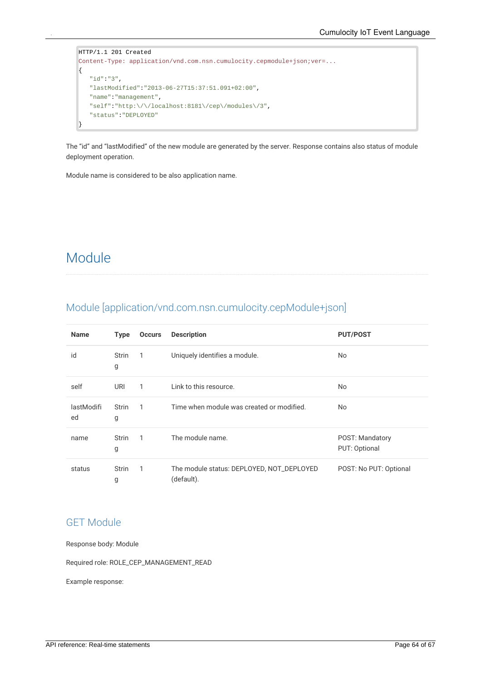```
HTTP/1.1 201 Created
Content-Type: application/vnd.com.nsn.cumulocity.cepmodule+json;ver=...
{
   "id":"3",
   "lastModified":"2013-06-27T15:37:51.091+02:00",
   "name":"management",
   "self":"http:\/\/localhost:8181\/cep\/modules\/3",
   "status":"DEPLOYED"
}
```
The "id" and "lastModified" of the new module are generated by the server. Response contains also status of module deployment operation.

<span id="page-63-0"></span>Module name is considered to be also application name.

## Module

<span id="page-63-1"></span>

|  |  | Module [application/vnd.com.nsn.cumulocity.cepModule+json] |
|--|--|------------------------------------------------------------|

| <b>Name</b>      | <b>Type</b>       | <b>Occurs</b> | <b>Description</b>                                      | <b>PUT/POST</b>                  |
|------------------|-------------------|---------------|---------------------------------------------------------|----------------------------------|
| id               | <b>Strin</b><br>g | 1             | Uniquely identifies a module.                           | <b>No</b>                        |
| self             | URI               | 1             | Link to this resource.                                  | <b>No</b>                        |
| lastModifi<br>ed | Strin<br>g        | 1             | Time when module was created or modified.               | N <sub>o</sub>                   |
| name             | <b>Strin</b><br>g | 1             | The module name.                                        | POST: Mandatory<br>PUT: Optional |
| status           | <b>Strin</b><br>g | 1             | The module status: DEPLOYED, NOT_DEPLOYED<br>(default). | POST: No PUT: Optional           |

#### <span id="page-63-2"></span>GET Module

Response body: Module

Required role: ROLE\_CEP\_MANAGEMENT\_READ

Example response: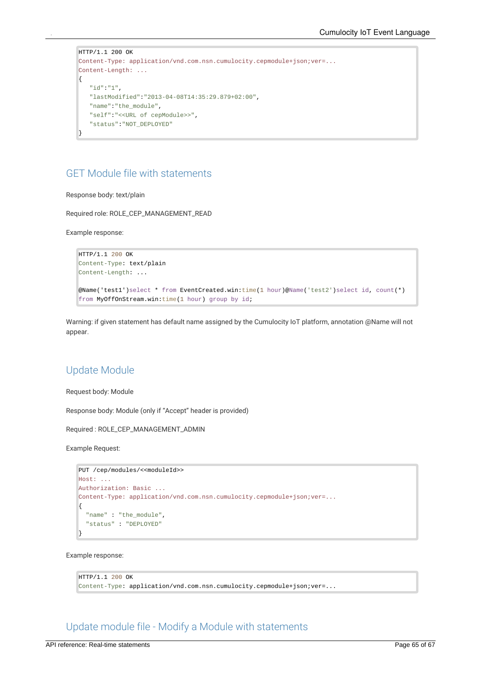```
HTTP/1.1 200 OK
Content-Type: application/vnd.com.nsn.cumulocity.cepmodule+json;ver=...
Content-Length: ...
{
   "id":"1",
   "lastModified":"2013-04-08T14:35:29.879+02:00",
   "name":"the_module",
   "self":"<<URL of cepModule>>",
   "status":"NOT_DEPLOYED"
}
```
### <span id="page-64-0"></span>GET Module file with statements

Response body: text/plain

Required role: ROLE\_CEP\_MANAGEMENT\_READ

Example response:

```
HTTP/1.1 200 OK
Content-Type: text/plain
Content-Length: ...
```

```
@Name('test1')select * from EventCreated.win:time(1 hour)@Name('test2')select id, count(*)
from MyOffOnStream.win:time(1 hour) group by id;
```
Warning: if given statement has default name assigned by the Cumulocity IoT platform, annotation @Name will not appear.

#### <span id="page-64-1"></span>Update Module

Request body: Module

Response body: Module (only if "Accept" header is provided)

Required : ROLE\_CEP\_MANAGEMENT\_ADMIN

Example Request:

```
PUT /cep/modules/<<moduleId>>
Host: ...
Authorization: Basic ...
Content-Type: application/vnd.com.nsn.cumulocity.cepmodule+json;ver=...
{
  "name" : "the_module",
  "status" : "DEPLOYED"
}
```
Example response:

```
HTTP/1.1 200 OK
Content-Type: application/vnd.com.nsn.cumulocity.cepmodule+json;ver=...
```
<span id="page-64-2"></span>Update module file - Modify a Module with statements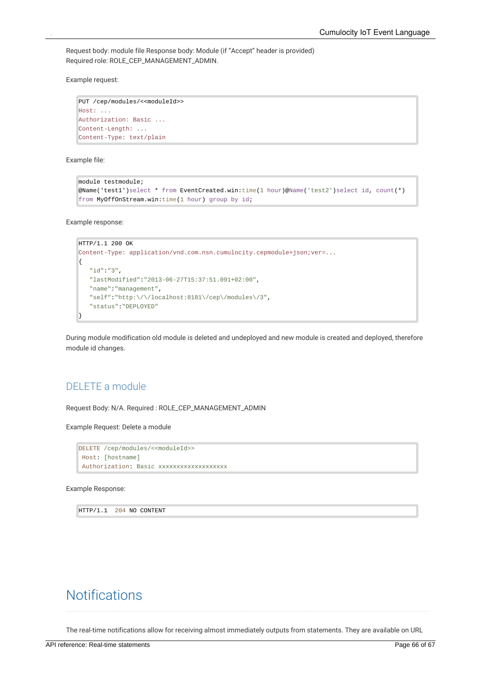Request body: module file Response body: Module (if "Accept" header is provided) Required role: ROLE\_CEP\_MANAGEMENT\_ADMIN.

Example request:

```
PUT /cep/modules/<<moduleId>>
Host: ...
Authorization: Basic ...
Content-Length: ...
Content-Type: text/plain
```
Example file:

```
module testmodule;
@Name('test1')select * from EventCreated.win:time(1 hour)@Name('test2')select id, count(*)
from MyOffOnStream.win:time(1 hour) group by id;
```
Example response:

```
HTTP/1.1 200 OK
Content-Type: application/vnd.com.nsn.cumulocity.cepmodule+json;ver=...
{
   "id":"3",
   "lastModified":"2013-06-27T15:37:51.091+02:00",
   "name":"management",
   "self":"http:\/\/localhost:8181\/cep\/modules\/3",
   "status":"DEPLOYED"
}
```
During module modification old module is deleted and undeployed and new module is created and deployed, therefore module id changes.

#### <span id="page-65-0"></span>DELETE a module

Request Body: N/A. Required : ROLE\_CEP\_MANAGEMENT\_ADMIN

Example Request: Delete a module

```
DELETE /cep/modules/<<moduleId>>
 Host: [hostname]
 Authorization: Basic xxxxxxxxxxxxxxxxxxx
```
Example Response:

<span id="page-65-1"></span>HTTP/1.1 204 NO CONTENT

## **Notifications**

The real-time notifications allow for receiving almost immediately outputs from statements. They are available on URL